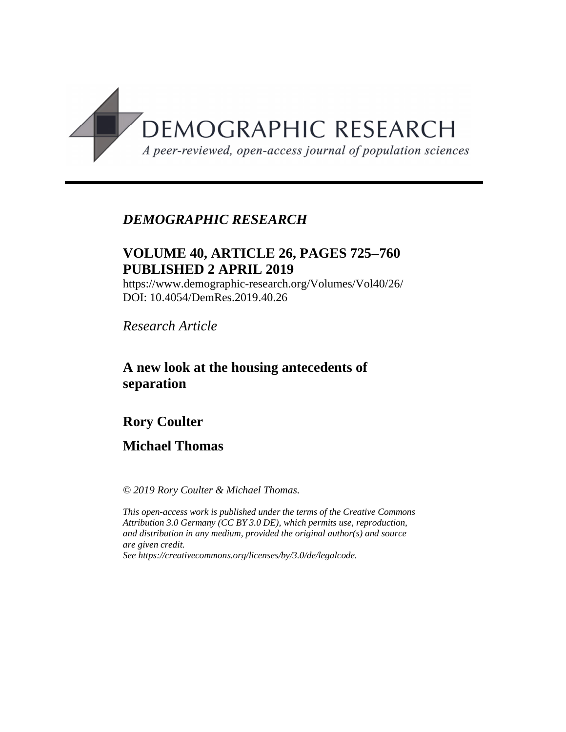

# *DEMOGRAPHIC RESEARCH*

# **VOLUME 40, ARTICLE 26, PAGES 725**-**760 PUBLISHED 2 APRIL 2019**

https://www.demographic-research.org/Volumes/Vol40/26/ DOI: 10.4054/DemRes.2019.40.26

*Research Article*

## **A new look at the housing antecedents of separation**

# **Rory Coulter**

## **Michael Thomas**

*© 2019 Rory Coulter & Michael Thomas.*

*This open-access work is published under the terms of the Creative Commons Attribution 3.0 Germany (CC BY 3.0 DE), which permits use, reproduction, and distribution in any medium, provided the original author(s) and source are given credit.*

*See [https://creativecommons.org/licenses/by/3.0/de/legalcode.](https://creativecommons.org/licenses/by/3.0/de/legalcode)*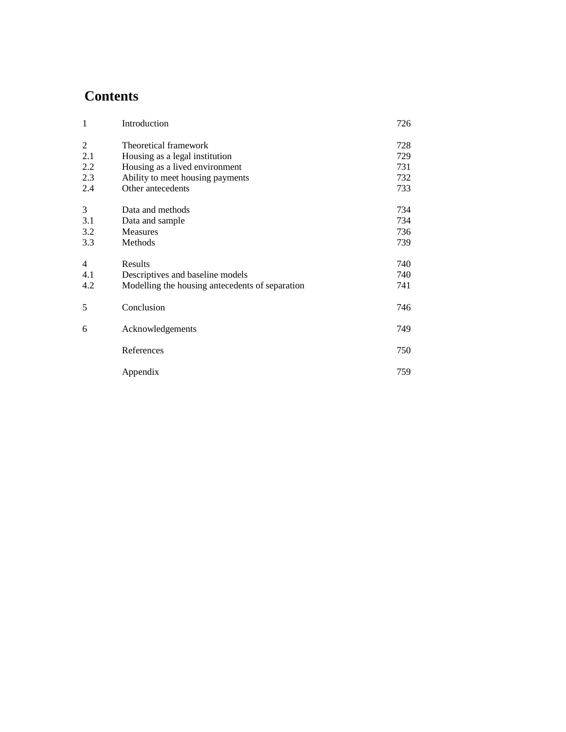# **Contents**

| $\mathbf{1}$   | Introduction                                    | 726 |
|----------------|-------------------------------------------------|-----|
| $\overline{2}$ | Theoretical framework                           | 728 |
| 2.1            | Housing as a legal institution                  | 729 |
| 2.2            | Housing as a lived environment                  | 731 |
| 2.3            | Ability to meet housing payments                | 732 |
| 2.4            | Other antecedents                               | 733 |
| 3              | Data and methods                                | 734 |
| 3.1            | Data and sample                                 | 734 |
| 3.2            | <b>Measures</b>                                 | 736 |
| 3.3            | Methods                                         | 739 |
| $\overline{4}$ | Results                                         | 740 |
| 4.1            | Descriptives and baseline models                | 740 |
| 4.2            | Modelling the housing antecedents of separation | 741 |
| 5              | Conclusion                                      | 746 |
| 6              | Acknowledgements                                | 749 |
|                | References                                      | 750 |
|                | Appendix                                        | 759 |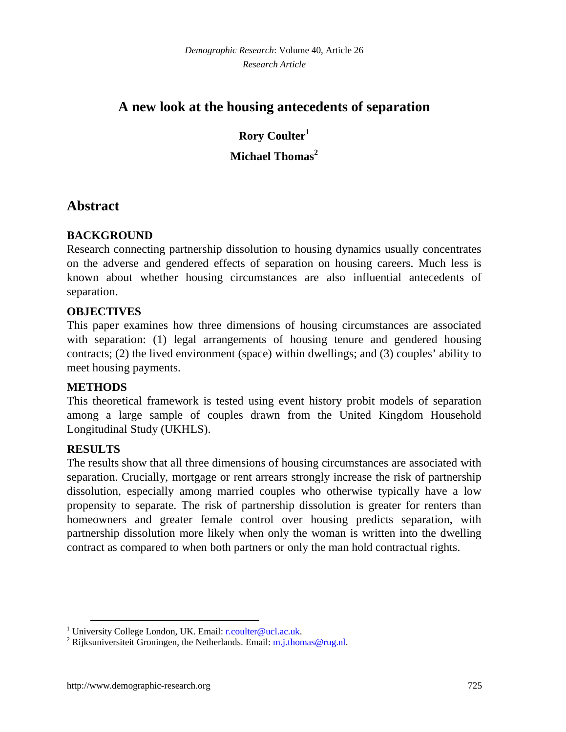# **A new look at the housing antecedents of separation**

**Rory Coulter[1](#page-2-0) Michael Thomas[2](#page-2-1)**

## **Abstract**

### **BACKGROUND**

Research connecting partnership dissolution to housing dynamics usually concentrates on the adverse and gendered effects of separation on housing careers. Much less is known about whether housing circumstances are also influential antecedents of separation.

### **OBJECTIVES**

This paper examines how three dimensions of housing circumstances are associated with separation: (1) legal arrangements of housing tenure and gendered housing contracts; (2) the lived environment (space) within dwellings; and (3) couples' ability to meet housing payments.

### **METHODS**

This theoretical framework is tested using event history probit models of separation among a large sample of couples drawn from the United Kingdom Household Longitudinal Study (UKHLS).

### **RESULTS**

The results show that all three dimensions of housing circumstances are associated with separation. Crucially, mortgage or rent arrears strongly increase the risk of partnership dissolution, especially among married couples who otherwise typically have a low propensity to separate. The risk of partnership dissolution is greater for renters than homeowners and greater female control over housing predicts separation, with partnership dissolution more likely when only the woman is written into the dwelling contract as compared to when both partners or only the man hold contractual rights.

<span id="page-2-0"></span><sup>&</sup>lt;sup>1</sup> University College London, UK. Email: [r.coulter@ucl.ac.uk.](mailto:r.coulter@ucl.ac.uk)

<span id="page-2-1"></span><sup>&</sup>lt;sup>2</sup> Rijksuniversiteit Groningen, the Netherlands. Email:  $m$ .j.thomas@rug.nl.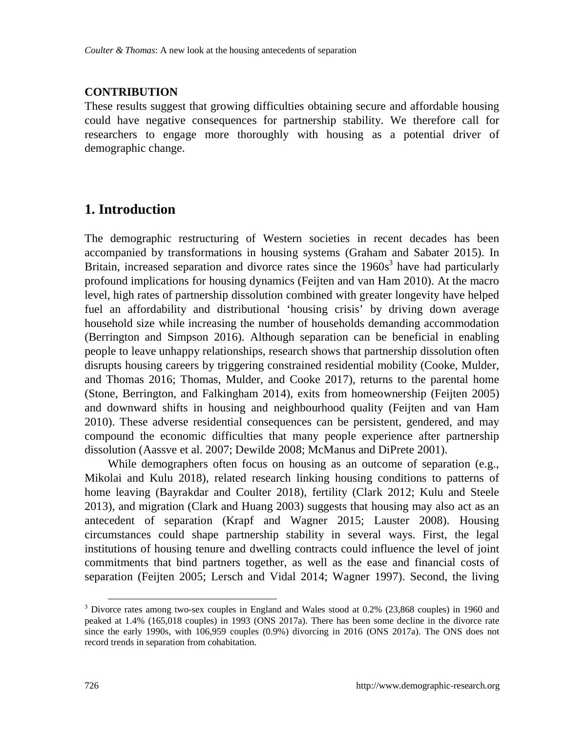### **CONTRIBUTION**

These results suggest that growing difficulties obtaining secure and affordable housing could have negative consequences for partnership stability. We therefore call for researchers to engage more thoroughly with housing as a potential driver of demographic change.

# **1. Introduction**

The demographic restructuring of Western societies in recent decades has been accompanied by transformations in housing systems (Graham and Sabater 2015). In Britain, increased separation and divorce rates since the  $1960s<sup>3</sup>$  $1960s<sup>3</sup>$  $1960s<sup>3</sup>$  have had particularly profound implications for housing dynamics (Feijten and van Ham 2010). At the macro level, high rates of partnership dissolution combined with greater longevity have helped fuel an affordability and distributional 'housing crisis' by driving down average household size while increasing the number of households demanding accommodation (Berrington and Simpson 2016). Although separation can be beneficial in enabling people to leave unhappy relationships, research shows that partnership dissolution often disrupts housing careers by triggering constrained residential mobility (Cooke, Mulder, and Thomas 2016; Thomas, Mulder, and Cooke 2017), returns to the parental home (Stone, Berrington, and Falkingham 2014), exits from homeownership (Feijten 2005) and downward shifts in housing and neighbourhood quality (Feijten and van Ham 2010). These adverse residential consequences can be persistent, gendered, and may compound the economic difficulties that many people experience after partnership dissolution (Aassve et al. 2007; Dewilde 2008; McManus and DiPrete 2001).

While demographers often focus on housing as an outcome of separation (e.g., Mikolai and Kulu 2018), related research linking housing conditions to patterns of home leaving (Bayrakdar and Coulter 2018), fertility (Clark 2012; Kulu and Steele 2013), and migration (Clark and Huang 2003) suggests that housing may also act as an antecedent of separation (Krapf and Wagner 2015; Lauster 2008). Housing circumstances could shape partnership stability in several ways. First, the legal institutions of housing tenure and dwelling contracts could influence the level of joint commitments that bind partners together, as well as the ease and financial costs of separation (Feijten 2005; Lersch and Vidal 2014; Wagner 1997). Second, the living

<span id="page-3-0"></span><sup>&</sup>lt;sup>3</sup> Divorce rates among two-sex couples in England and Wales stood at 0.2% (23,868 couples) in 1960 and peaked at 1.4% (165,018 couples) in 1993 (ONS 2017a). There has been some decline in the divorce rate since the early 1990s, with 106,959 couples (0.9%) divorcing in 2016 (ONS 2017a). The ONS does not record trends in separation from cohabitation.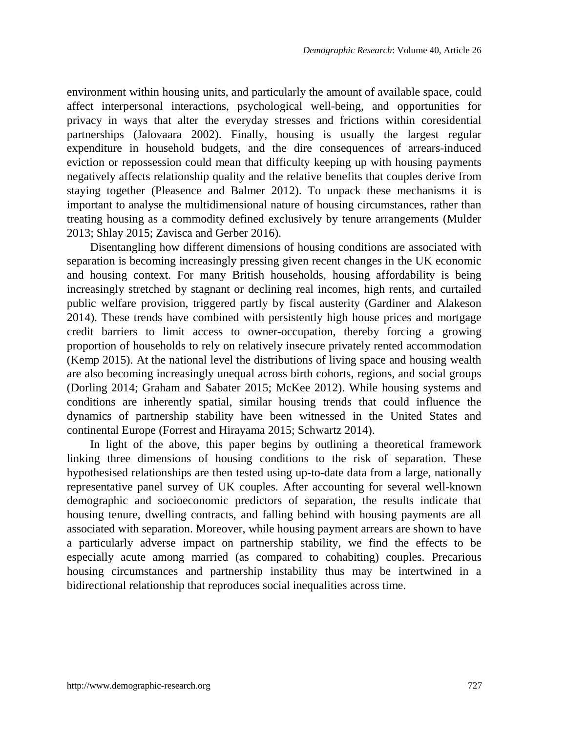environment within housing units, and particularly the amount of available space, could affect interpersonal interactions, psychological well-being, and opportunities for privacy in ways that alter the everyday stresses and frictions within coresidential partnerships (Jalovaara 2002). Finally, housing is usually the largest regular expenditure in household budgets, and the dire consequences of arrears-induced eviction or repossession could mean that difficulty keeping up with housing payments negatively affects relationship quality and the relative benefits that couples derive from staying together (Pleasence and Balmer 2012). To unpack these mechanisms it is important to analyse the multidimensional nature of housing circumstances, rather than treating housing as a commodity defined exclusively by tenure arrangements (Mulder 2013; Shlay 2015; Zavisca and Gerber 2016).

Disentangling how different dimensions of housing conditions are associated with separation is becoming increasingly pressing given recent changes in the UK economic and housing context. For many British households, housing affordability is being increasingly stretched by stagnant or declining real incomes, high rents, and curtailed public welfare provision, triggered partly by fiscal austerity (Gardiner and Alakeson 2014). These trends have combined with persistently high house prices and mortgage credit barriers to limit access to owner-occupation, thereby forcing a growing proportion of households to rely on relatively insecure privately rented accommodation (Kemp 2015). At the national level the distributions of living space and housing wealth are also becoming increasingly unequal across birth cohorts, regions, and social groups (Dorling 2014; Graham and Sabater 2015; McKee 2012). While housing systems and conditions are inherently spatial, similar housing trends that could influence the dynamics of partnership stability have been witnessed in the United States and continental Europe (Forrest and Hirayama 2015; Schwartz 2014).

In light of the above, this paper begins by outlining a theoretical framework linking three dimensions of housing conditions to the risk of separation. These hypothesised relationships are then tested using up-to-date data from a large, nationally representative panel survey of UK couples. After accounting for several well-known demographic and socioeconomic predictors of separation, the results indicate that housing tenure, dwelling contracts, and falling behind with housing payments are all associated with separation. Moreover, while housing payment arrears are shown to have a particularly adverse impact on partnership stability, we find the effects to be especially acute among married (as compared to cohabiting) couples. Precarious housing circumstances and partnership instability thus may be intertwined in a bidirectional relationship that reproduces social inequalities across time.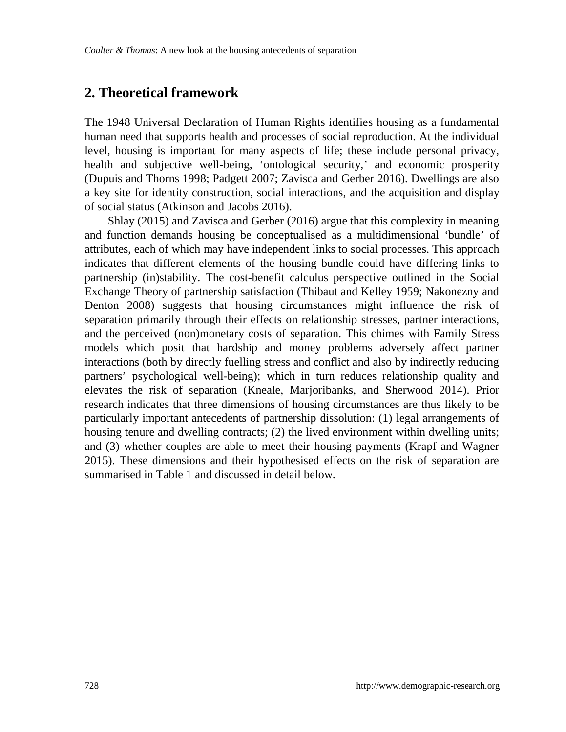### **2. Theoretical framework**

The 1948 Universal Declaration of Human Rights identifies housing as a fundamental human need that supports health and processes of social reproduction. At the individual level, housing is important for many aspects of life; these include personal privacy, health and subjective well-being, 'ontological security,' and economic prosperity (Dupuis and Thorns 1998; Padgett 2007; Zavisca and Gerber 2016). Dwellings are also a key site for identity construction, social interactions, and the acquisition and display of social status (Atkinson and Jacobs 2016).

Shlay (2015) and Zavisca and Gerber (2016) argue that this complexity in meaning and function demands housing be conceptualised as a multidimensional 'bundle' of attributes, each of which may have independent links to social processes. This approach indicates that different elements of the housing bundle could have differing links to partnership (in)stability. The cost-benefit calculus perspective outlined in the Social Exchange Theory of partnership satisfaction (Thibaut and Kelley 1959; Nakonezny and Denton 2008) suggests that housing circumstances might influence the risk of separation primarily through their effects on relationship stresses, partner interactions, and the perceived (non)monetary costs of separation. This chimes with Family Stress models which posit that hardship and money problems adversely affect partner interactions (both by directly fuelling stress and conflict and also by indirectly reducing partners' psychological well-being); which in turn reduces relationship quality and elevates the risk of separation (Kneale, Marjoribanks, and Sherwood 2014). Prior research indicates that three dimensions of housing circumstances are thus likely to be particularly important antecedents of partnership dissolution: (1) legal arrangements of housing tenure and dwelling contracts; (2) the lived environment within dwelling units; and (3) whether couples are able to meet their housing payments (Krapf and Wagner 2015). These dimensions and their hypothesised effects on the risk of separation are summarised in Table 1 and discussed in detail below.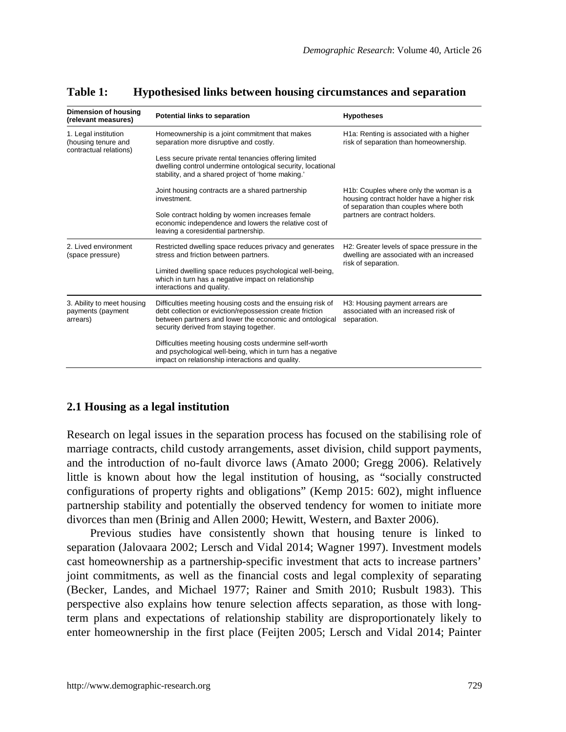| Dimension of housing<br>(relevant measures)                           | Potential links to separation                                                                                                                                                                                                | <b>Hypotheses</b>                                                                                                                          |
|-----------------------------------------------------------------------|------------------------------------------------------------------------------------------------------------------------------------------------------------------------------------------------------------------------------|--------------------------------------------------------------------------------------------------------------------------------------------|
| 1. Legal institution<br>(housing tenure and<br>contractual relations) | Homeownership is a joint commitment that makes<br>separation more disruptive and costly.                                                                                                                                     | H1a: Renting is associated with a higher<br>risk of separation than homeownership.                                                         |
|                                                                       | Less secure private rental tenancies offering limited<br>dwelling control undermine ontological security, locational<br>stability, and a shared project of 'home making.'                                                    |                                                                                                                                            |
|                                                                       | Joint housing contracts are a shared partnership<br>investment.                                                                                                                                                              | H <sub>1</sub> b: Couples where only the woman is a<br>housing contract holder have a higher risk<br>of separation than couples where both |
|                                                                       | Sole contract holding by women increases female<br>economic independence and lowers the relative cost of<br>leaving a coresidential partnership.                                                                             | partners are contract holders.                                                                                                             |
| 2. Lived environment<br>(space pressure)                              | Restricted dwelling space reduces privacy and generates<br>stress and friction between partners.                                                                                                                             | H2: Greater levels of space pressure in the<br>dwelling are associated with an increased<br>risk of separation.                            |
|                                                                       | Limited dwelling space reduces psychological well-being,<br>which in turn has a negative impact on relationship<br>interactions and quality.                                                                                 |                                                                                                                                            |
| 3. Ability to meet housing<br>payments (payment<br>arrears)           | Difficulties meeting housing costs and the ensuing risk of<br>debt collection or eviction/repossession create friction<br>between partners and lower the economic and ontological<br>security derived from staying together. | H3: Housing payment arrears are<br>associated with an increased risk of<br>separation.                                                     |
|                                                                       | Difficulties meeting housing costs undermine self-worth<br>and psychological well-being, which in turn has a negative<br>impact on relationship interactions and quality.                                                    |                                                                                                                                            |

#### **Table 1: Hypothesised links between housing circumstances and separation**

#### **2.1 Housing as a legal institution**

Research on legal issues in the separation process has focused on the stabilising role of marriage contracts, child custody arrangements, asset division, child support payments, and the introduction of no-fault divorce laws (Amato 2000; Gregg 2006). Relatively little is known about how the legal institution of housing, as "socially constructed configurations of property rights and obligations" (Kemp 2015: 602), might influence partnership stability and potentially the observed tendency for women to initiate more divorces than men (Brinig and Allen 2000; Hewitt, Western, and Baxter 2006).

Previous studies have consistently shown that housing tenure is linked to separation (Jalovaara 2002; Lersch and Vidal 2014; Wagner 1997). Investment models cast homeownership as a partnership-specific investment that acts to increase partners' joint commitments, as well as the financial costs and legal complexity of separating (Becker, Landes, and Michael 1977; Rainer and Smith 2010; Rusbult 1983). This perspective also explains how tenure selection affects separation, as those with longterm plans and expectations of relationship stability are disproportionately likely to enter homeownership in the first place (Feijten 2005; Lersch and Vidal 2014; Painter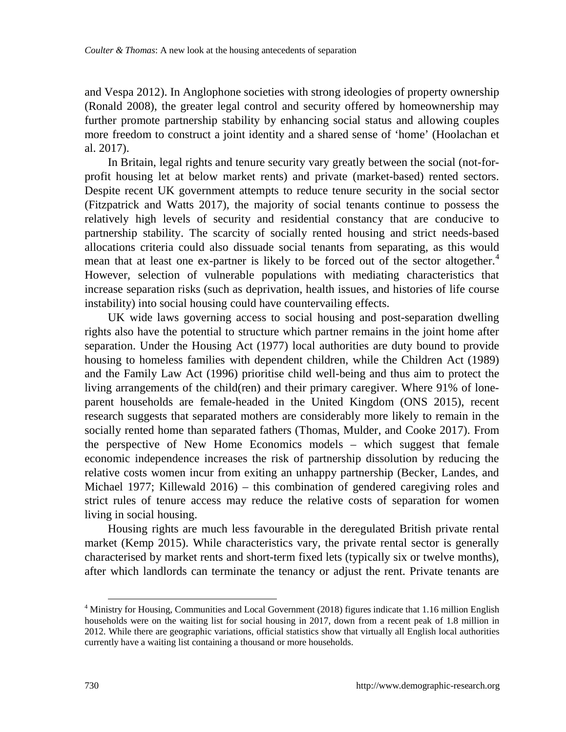and Vespa 2012). In Anglophone societies with strong ideologies of property ownership (Ronald 2008), the greater legal control and security offered by homeownership may further promote partnership stability by enhancing social status and allowing couples more freedom to construct a joint identity and a shared sense of 'home' (Hoolachan et al. 2017).

In Britain, legal rights and tenure security vary greatly between the social (not-forprofit housing let at below market rents) and private (market-based) rented sectors. Despite recent UK government attempts to reduce tenure security in the social sector (Fitzpatrick and Watts 2017), the majority of social tenants continue to possess the relatively high levels of security and residential constancy that are conducive to partnership stability. The scarcity of socially rented housing and strict needs-based allocations criteria could also dissuade social tenants from separating, as this would mean that at least one ex-partner is likely to be forced out of the sector altogether.<sup>[4](#page-7-0)</sup> However, selection of vulnerable populations with mediating characteristics that increase separation risks (such as deprivation, health issues, and histories of life course instability) into social housing could have countervailing effects.

UK wide laws governing access to social housing and post-separation dwelling rights also have the potential to structure which partner remains in the joint home after separation. Under the Housing Act (1977) local authorities are duty bound to provide housing to homeless families with dependent children, while the Children Act (1989) and the Family Law Act (1996) prioritise child well-being and thus aim to protect the living arrangements of the child(ren) and their primary caregiver. Where 91% of loneparent households are female-headed in the United Kingdom (ONS 2015), recent research suggests that separated mothers are considerably more likely to remain in the socially rented home than separated fathers (Thomas, Mulder, and Cooke 2017). From the perspective of New Home Economics models – which suggest that female economic independence increases the risk of partnership dissolution by reducing the relative costs women incur from exiting an unhappy partnership (Becker, Landes, and Michael 1977; Killewald 2016) – this combination of gendered caregiving roles and strict rules of tenure access may reduce the relative costs of separation for women living in social housing.

Housing rights are much less favourable in the deregulated British private rental market (Kemp 2015). While characteristics vary, the private rental sector is generally characterised by market rents and short-term fixed lets (typically six or twelve months), after which landlords can terminate the tenancy or adjust the rent. Private tenants are

<span id="page-7-0"></span><sup>4</sup> Ministry for Housing, Communities and Local Government (2018) figures indicate that 1.16 million English households were on the waiting list for social housing in 2017, down from a recent peak of 1.8 million in 2012. While there are geographic variations, official statistics show that virtually all English local authorities currently have a waiting list containing a thousand or more households.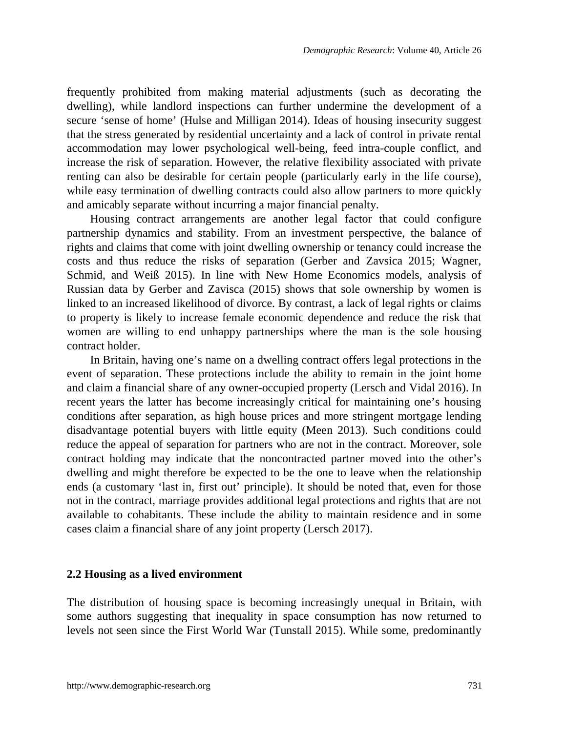frequently prohibited from making material adjustments (such as decorating the dwelling), while landlord inspections can further undermine the development of a secure 'sense of home' (Hulse and Milligan 2014). Ideas of housing insecurity suggest that the stress generated by residential uncertainty and a lack of control in private rental accommodation may lower psychological well-being, feed intra-couple conflict, and increase the risk of separation. However, the relative flexibility associated with private renting can also be desirable for certain people (particularly early in the life course), while easy termination of dwelling contracts could also allow partners to more quickly and amicably separate without incurring a major financial penalty.

Housing contract arrangements are another legal factor that could configure partnership dynamics and stability. From an investment perspective, the balance of rights and claims that come with joint dwelling ownership or tenancy could increase the costs and thus reduce the risks of separation (Gerber and Zavsica 2015; Wagner, Schmid, and Weiß 2015). In line with New Home Economics models, analysis of Russian data by Gerber and Zavisca (2015) shows that sole ownership by women is linked to an increased likelihood of divorce. By contrast, a lack of legal rights or claims to property is likely to increase female economic dependence and reduce the risk that women are willing to end unhappy partnerships where the man is the sole housing contract holder.

In Britain, having one's name on a dwelling contract offers legal protections in the event of separation. These protections include the ability to remain in the joint home and claim a financial share of any owner-occupied property (Lersch and Vidal 2016). In recent years the latter has become increasingly critical for maintaining one's housing conditions after separation, as high house prices and more stringent mortgage lending disadvantage potential buyers with little equity (Meen 2013). Such conditions could reduce the appeal of separation for partners who are not in the contract. Moreover, sole contract holding may indicate that the noncontracted partner moved into the other's dwelling and might therefore be expected to be the one to leave when the relationship ends (a customary 'last in, first out' principle). It should be noted that, even for those not in the contract, marriage provides additional legal protections and rights that are not available to cohabitants. These include the ability to maintain residence and in some cases claim a financial share of any joint property (Lersch 2017).

#### **2.2 Housing as a lived environment**

The distribution of housing space is becoming increasingly unequal in Britain, with some authors suggesting that inequality in space consumption has now returned to levels not seen since the First World War (Tunstall 2015). While some, predominantly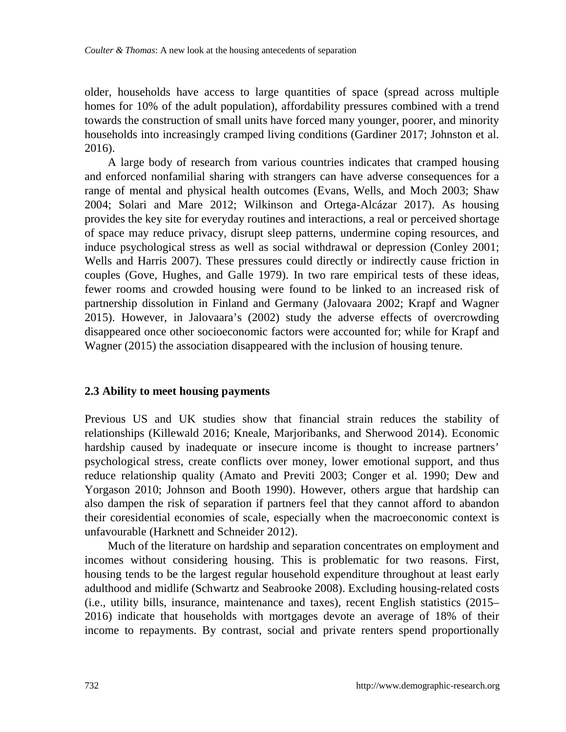older, households have access to large quantities of space (spread across multiple homes for 10% of the adult population), affordability pressures combined with a trend towards the construction of small units have forced many younger, poorer, and minority households into increasingly cramped living conditions (Gardiner 2017; Johnston et al. 2016).

A large body of research from various countries indicates that cramped housing and enforced nonfamilial sharing with strangers can have adverse consequences for a range of mental and physical health outcomes (Evans, Wells, and Moch 2003; Shaw 2004; Solari and Mare 2012; Wilkinson and Ortega-Alcázar 2017). As housing provides the key site for everyday routines and interactions, a real or perceived shortage of space may reduce privacy, disrupt sleep patterns, undermine coping resources, and induce psychological stress as well as social withdrawal or depression (Conley 2001; Wells and Harris 2007). These pressures could directly or indirectly cause friction in couples (Gove, Hughes, and Galle 1979). In two rare empirical tests of these ideas, fewer rooms and crowded housing were found to be linked to an increased risk of partnership dissolution in Finland and Germany (Jalovaara 2002; Krapf and Wagner 2015). However, in Jalovaara's (2002) study the adverse effects of overcrowding disappeared once other socioeconomic factors were accounted for; while for Krapf and Wagner (2015) the association disappeared with the inclusion of housing tenure.

#### **2.3 Ability to meet housing payments**

Previous US and UK studies show that financial strain reduces the stability of relationships (Killewald 2016; Kneale, Marjoribanks, and Sherwood 2014). Economic hardship caused by inadequate or insecure income is thought to increase partners' psychological stress, create conflicts over money, lower emotional support, and thus reduce relationship quality (Amato and Previti 2003; Conger et al. 1990; Dew and Yorgason 2010; Johnson and Booth 1990). However, others argue that hardship can also dampen the risk of separation if partners feel that they cannot afford to abandon their coresidential economies of scale, especially when the macroeconomic context is unfavourable (Harknett and Schneider 2012).

Much of the literature on hardship and separation concentrates on employment and incomes without considering housing. This is problematic for two reasons. First, housing tends to be the largest regular household expenditure throughout at least early adulthood and midlife (Schwartz and Seabrooke 2008). Excluding housing-related costs (i.e., utility bills, insurance, maintenance and taxes), recent English statistics (2015– 2016) indicate that households with mortgages devote an average of 18% of their income to repayments. By contrast, social and private renters spend proportionally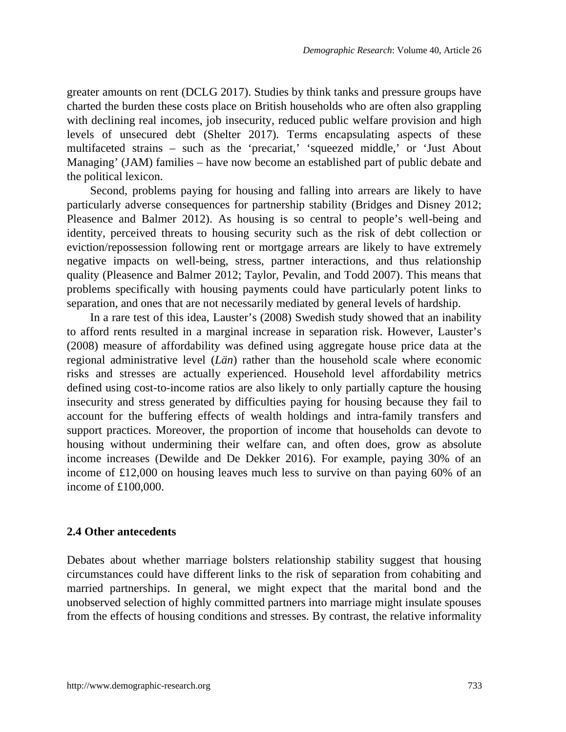greater amounts on rent (DCLG 2017). Studies by think tanks and pressure groups have charted the burden these costs place on British households who are often also grappling with declining real incomes, job insecurity, reduced public welfare provision and high levels of unsecured debt (Shelter 2017). Terms encapsulating aspects of these multifaceted strains – such as the 'precariat,' 'squeezed middle,' or 'Just About Managing' (JAM) families – have now become an established part of public debate and the political lexicon.

Second, problems paying for housing and falling into arrears are likely to have particularly adverse consequences for partnership stability (Bridges and Disney 2012; Pleasence and Balmer 2012). As housing is so central to people's well-being and identity, perceived threats to housing security such as the risk of debt collection or eviction/repossession following rent or mortgage arrears are likely to have extremely negative impacts on well-being, stress, partner interactions, and thus relationship quality (Pleasence and Balmer 2012; Taylor, Pevalin, and Todd 2007). This means that problems specifically with housing payments could have particularly potent links to separation, and ones that are not necessarily mediated by general levels of hardship.

In a rare test of this idea, Lauster's (2008) Swedish study showed that an inability to afford rents resulted in a marginal increase in separation risk. However, Lauster's (2008) measure of affordability was defined using aggregate house price data at the regional administrative level (*Län*) rather than the household scale where economic risks and stresses are actually experienced. Household level affordability metrics defined using cost-to-income ratios are also likely to only partially capture the housing insecurity and stress generated by difficulties paying for housing because they fail to account for the buffering effects of wealth holdings and intra-family transfers and support practices. Moreover, the proportion of income that households can devote to housing without undermining their welfare can, and often does, grow as absolute income increases (Dewilde and De Dekker 2016). For example, paying 30% of an income of £12,000 on housing leaves much less to survive on than paying 60% of an income of £100,000.

#### **2.4 Other antecedents**

Debates about whether marriage bolsters relationship stability suggest that housing circumstances could have different links to the risk of separation from cohabiting and married partnerships. In general, we might expect that the marital bond and the unobserved selection of highly committed partners into marriage might insulate spouses from the effects of housing conditions and stresses. By contrast, the relative informality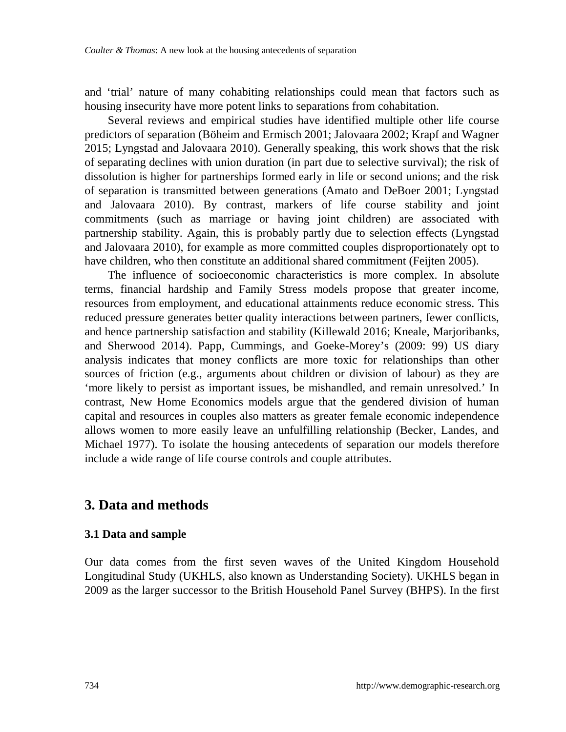and 'trial' nature of many cohabiting relationships could mean that factors such as housing insecurity have more potent links to separations from cohabitation.

Several reviews and empirical studies have identified multiple other life course predictors of separation (Böheim and Ermisch 2001; Jalovaara 2002; Krapf and Wagner 2015; Lyngstad and Jalovaara 2010). Generally speaking, this work shows that the risk of separating declines with union duration (in part due to selective survival); the risk of dissolution is higher for partnerships formed early in life or second unions; and the risk of separation is transmitted between generations (Amato and DeBoer 2001; Lyngstad and Jalovaara 2010). By contrast, markers of life course stability and joint commitments (such as marriage or having joint children) are associated with partnership stability. Again, this is probably partly due to selection effects (Lyngstad and Jalovaara 2010), for example as more committed couples disproportionately opt to have children, who then constitute an additional shared commitment (Feijten 2005).

The influence of socioeconomic characteristics is more complex. In absolute terms, financial hardship and Family Stress models propose that greater income, resources from employment, and educational attainments reduce economic stress. This reduced pressure generates better quality interactions between partners, fewer conflicts, and hence partnership satisfaction and stability (Killewald 2016; Kneale, Marjoribanks, and Sherwood 2014). Papp, Cummings, and Goeke-Morey's (2009: 99) US diary analysis indicates that money conflicts are more toxic for relationships than other sources of friction (e.g., arguments about children or division of labour) as they are 'more likely to persist as important issues, be mishandled, and remain unresolved.' In contrast, New Home Economics models argue that the gendered division of human capital and resources in couples also matters as greater female economic independence allows women to more easily leave an unfulfilling relationship (Becker, Landes, and Michael 1977). To isolate the housing antecedents of separation our models therefore include a wide range of life course controls and couple attributes.

## **3. Data and methods**

### **3.1 Data and sample**

Our data comes from the first seven waves of the United Kingdom Household Longitudinal Study (UKHLS, also known as Understanding Society). UKHLS began in 2009 as the larger successor to the British Household Panel Survey (BHPS). In the first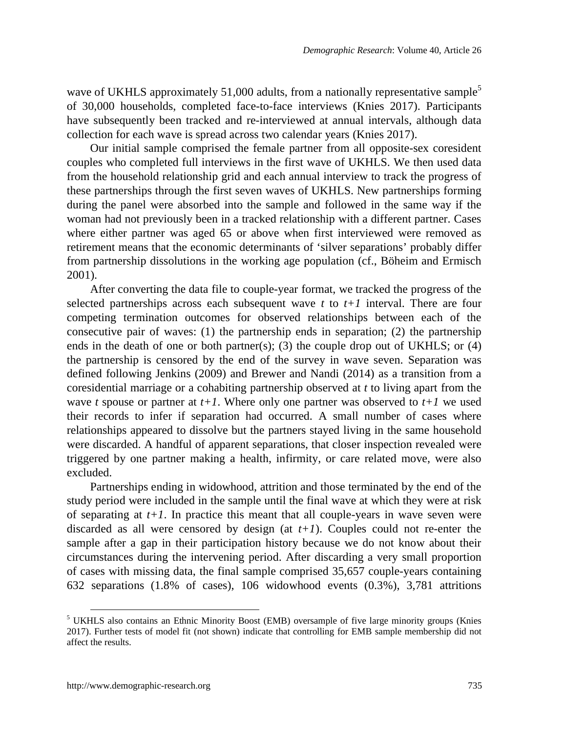wave of UKHLS approximately [5](#page-12-0)1,000 adults, from a nationally representative sample<sup>5</sup> of 30,000 households, completed face-to-face interviews (Knies 2017). Participants have subsequently been tracked and re-interviewed at annual intervals, although data collection for each wave is spread across two calendar years (Knies 2017).

Our initial sample comprised the female partner from all opposite-sex coresident couples who completed full interviews in the first wave of UKHLS. We then used data from the household relationship grid and each annual interview to track the progress of these partnerships through the first seven waves of UKHLS. New partnerships forming during the panel were absorbed into the sample and followed in the same way if the woman had not previously been in a tracked relationship with a different partner. Cases where either partner was aged 65 or above when first interviewed were removed as retirement means that the economic determinants of 'silver separations' probably differ from partnership dissolutions in the working age population (cf., Böheim and Ermisch 2001).

After converting the data file to couple-year format, we tracked the progress of the selected partnerships across each subsequent wave *t* to *t+1* interval. There are four competing termination outcomes for observed relationships between each of the consecutive pair of waves: (1) the partnership ends in separation; (2) the partnership ends in the death of one or both partner(s); (3) the couple drop out of UKHLS; or (4) the partnership is censored by the end of the survey in wave seven. Separation was defined following Jenkins (2009) and Brewer and Nandi (2014) as a transition from a coresidential marriage or a cohabiting partnership observed at *t* to living apart from the wave *t* spouse or partner at  $t+1$ . Where only one partner was observed to  $t+1$  we used their records to infer if separation had occurred. A small number of cases where relationships appeared to dissolve but the partners stayed living in the same household were discarded. A handful of apparent separations, that closer inspection revealed were triggered by one partner making a health, infirmity, or care related move, were also excluded.

Partnerships ending in widowhood, attrition and those terminated by the end of the study period were included in the sample until the final wave at which they were at risk of separating at *t+1*. In practice this meant that all couple-years in wave seven were discarded as all were censored by design (at  $t+1$ ). Couples could not re-enter the sample after a gap in their participation history because we do not know about their circumstances during the intervening period. After discarding a very small proportion of cases with missing data, the final sample comprised 35,657 couple-years containing 632 separations (1.8% of cases), 106 widowhood events (0.3%), 3,781 attritions

<span id="page-12-0"></span><sup>&</sup>lt;sup>5</sup> UKHLS also contains an Ethnic Minority Boost (EMB) oversample of five large minority groups (Knies 2017). Further tests of model fit (not shown) indicate that controlling for EMB sample membership did not affect the results.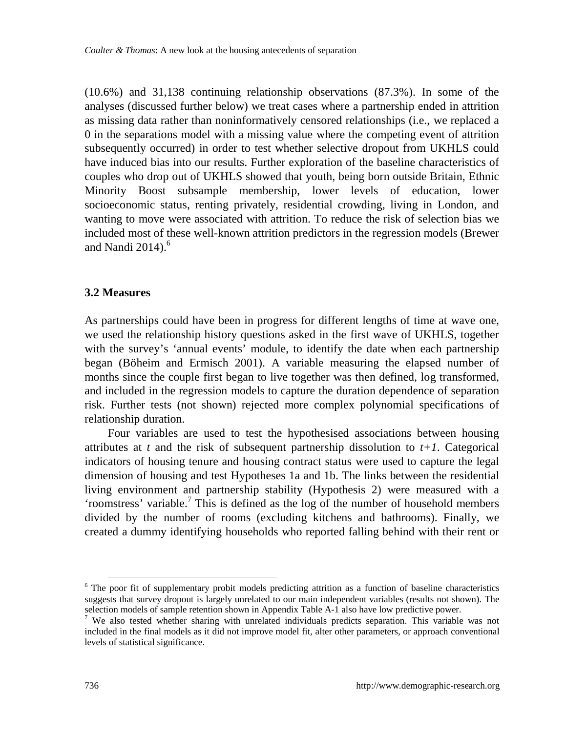(10.6%) and 31,138 continuing relationship observations (87.3%). In some of the analyses (discussed further below) we treat cases where a partnership ended in attrition as missing data rather than noninformatively censored relationships (i.e., we replaced a 0 in the separations model with a missing value where the competing event of attrition subsequently occurred) in order to test whether selective dropout from UKHLS could have induced bias into our results. Further exploration of the baseline characteristics of couples who drop out of UKHLS showed that youth, being born outside Britain, Ethnic Minority Boost subsample membership, lower levels of education, lower socioeconomic status, renting privately, residential crowding, living in London, and wanting to move were associated with attrition. To reduce the risk of selection bias we included most of these well-known attrition predictors in the regression models (Brewer and Nandi  $2014$ .<sup>[6](#page-13-0)</sup>

#### **3.2 Measures**

As partnerships could have been in progress for different lengths of time at wave one, we used the relationship history questions asked in the first wave of UKHLS, together with the survey's 'annual events' module, to identify the date when each partnership began (Böheim and Ermisch 2001). A variable measuring the elapsed number of months since the couple first began to live together was then defined, log transformed, and included in the regression models to capture the duration dependence of separation risk. Further tests (not shown) rejected more complex polynomial specifications of relationship duration.

Four variables are used to test the hypothesised associations between housing attributes at *t* and the risk of subsequent partnership dissolution to  $t+1$ . Categorical indicators of housing tenure and housing contract status were used to capture the legal dimension of housing and test Hypotheses 1a and 1b. The links between the residential living environment and partnership stability (Hypothesis 2) were measured with a 'roomstress' variable.<sup>[7](#page-13-1)</sup> This is defined as the log of the number of household members divided by the number of rooms (excluding kitchens and bathrooms). Finally, we created a dummy identifying households who reported falling behind with their rent or

<span id="page-13-0"></span><sup>&</sup>lt;sup>6</sup> The poor fit of supplementary probit models predicting attrition as a function of baseline characteristics suggests that survey dropout is largely unrelated to our main independent variables (results not shown). The selection models of sample retention shown in Appendix Table A-1 also have low predictive power.

<span id="page-13-1"></span><sup>&</sup>lt;sup>7</sup> We also tested whether sharing with unrelated individuals predicts separation. This variable was not included in the final models as it did not improve model fit, alter other parameters, or approach conventional levels of statistical significance.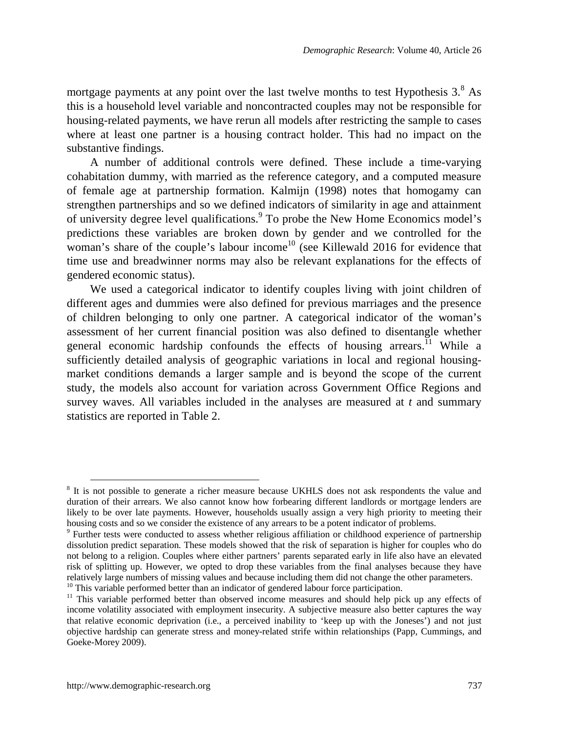mortgagepayments at any point over the last twelve months to test Hypothesis  $3.8$ <sup>8</sup> As this is a household level variable and noncontracted couples may not be responsible for housing-related payments, we have rerun all models after restricting the sample to cases where at least one partner is a housing contract holder. This had no impact on the substantive findings.

A number of additional controls were defined. These include a time-varying cohabitation dummy, with married as the reference category, and a computed measure of female age at partnership formation. Kalmijn (1998) notes that homogamy can strengthen partnerships and so we defined indicators of similarity in age and attainment of university degree level qualifications.<sup>[9](#page-14-1)</sup> To probe the New Home Economics model's predictions these variables are broken down by gender and we controlled for the woman's share of the couple's labour income<sup>[10](#page-14-2)</sup> (see Killewald 2016 for evidence that time use and breadwinner norms may also be relevant explanations for the effects of gendered economic status).

We used a categorical indicator to identify couples living with joint children of different ages and dummies were also defined for previous marriages and the presence of children belonging to only one partner. A categorical indicator of the woman's assessment of her current financial position was also defined to disentangle whether general economic hardship confounds the effects of housing arrears.<sup> $1$ </sup> While a sufficiently detailed analysis of geographic variations in local and regional housingmarket conditions demands a larger sample and is beyond the scope of the current study, the models also account for variation across Government Office Regions and survey waves. All variables included in the analyses are measured at *t* and summary statistics are reported in Table 2.

<span id="page-14-0"></span><sup>&</sup>lt;sup>8</sup> It is not possible to generate a richer measure because UKHLS does not ask respondents the value and duration of their arrears. We also cannot know how forbearing different landlords or mortgage lenders are likely to be over late payments. However, households usually assign a very high priority to meeting their housing costs and so we consider the existence of any arrears to be a potent indicator of problems.

<span id="page-14-1"></span><sup>&</sup>lt;sup>9</sup> Further tests were conducted to assess whether religious affiliation or childhood experience of partnership dissolution predict separation. These models showed that the risk of separation is higher for couples who do not belong to a religion. Couples where either partners' parents separated early in life also have an elevated risk of splitting up. However, we opted to drop these variables from the final analyses because they have relatively large numbers of missing values and because including them did not change the other parameters. <sup>10</sup> This variable performed better than an indicator of gendered labour force participation.

<span id="page-14-3"></span><span id="page-14-2"></span> $11$  This variable performed better than observed income measures and should help pick up any effects of income volatility associated with employment insecurity. A subjective measure also better captures the way that relative economic deprivation (i.e., a perceived inability to 'keep up with the Joneses') and not just objective hardship can generate stress and money-related strife within relationships (Papp, Cummings, and Goeke-Morey 2009).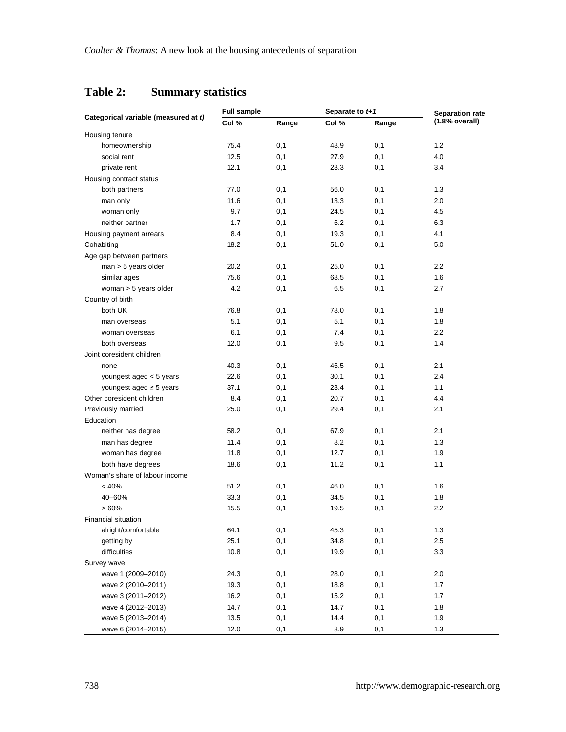|                                      | <b>Full sample</b> |       | Separate to t+1 |       | <b>Separation rate</b> |  |
|--------------------------------------|--------------------|-------|-----------------|-------|------------------------|--|
| Categorical variable (measured at t) | Col %              | Range | Col %           | Range | (1.8% overall)         |  |
| Housing tenure                       |                    |       |                 |       |                        |  |
| homeownership                        | 75.4               | 0,1   | 48.9            | 0,1   | 1.2                    |  |
| social rent                          | 12.5               | 0,1   | 27.9            | 0,1   | 4.0                    |  |
| private rent                         | 12.1               | 0,1   | 23.3            | 0,1   | 3.4                    |  |
| Housing contract status              |                    |       |                 |       |                        |  |
| both partners                        | 77.0               | 0,1   | 56.0            | 0,1   | 1.3                    |  |
| man only                             | 11.6               | 0,1   | 13.3            | 0,1   | 2.0                    |  |
| woman only                           | 9.7                | 0,1   | 24.5            | 0,1   | 4.5                    |  |
| neither partner                      | 1.7                | 0,1   | 6.2             | 0,1   | 6.3                    |  |
| Housing payment arrears              | 8.4                | 0,1   | 19.3            | 0,1   | 4.1                    |  |
| Cohabiting                           | 18.2               | 0,1   | 51.0            | 0,1   | 5.0                    |  |
| Age gap between partners             |                    |       |                 |       |                        |  |
| $man > 5$ years older                | 20.2               | 0,1   | 25.0            | 0,1   | 2.2                    |  |
| similar ages                         | 75.6               | 0,1   | 68.5            | 0,1   | 1.6                    |  |
| woman > 5 years older                | 4.2                | 0,1   | 6.5             | 0,1   | 2.7                    |  |
| Country of birth                     |                    |       |                 |       |                        |  |
| both UK                              | 76.8               | 0,1   | 78.0            | 0,1   | 1.8                    |  |
| man overseas                         | 5.1                | 0,1   | 5.1             | 0,1   | 1.8                    |  |
| woman overseas                       | 6.1                | 0,1   | 7.4             | 0,1   | 2.2                    |  |
| both overseas                        | 12.0               | 0,1   | 9.5             | 0,1   | 1.4                    |  |
| Joint coresident children            |                    |       |                 |       |                        |  |
| none                                 | 40.3               | 0,1   | 46.5            | 0,1   | 2.1                    |  |
| youngest aged < 5 years              | 22.6               | 0,1   | 30.1            | 0,1   | 2.4                    |  |
| youngest aged $\geq$ 5 years         | 37.1               | 0,1   | 23.4            | 0,1   | 1.1                    |  |
| Other coresident children            | 8.4                | 0,1   | 20.7            | 0,1   | 4.4                    |  |
| Previously married                   | 25.0               | 0,1   | 29.4            | 0,1   | 2.1                    |  |
| Education                            |                    |       |                 |       |                        |  |
| neither has degree                   | 58.2               | 0,1   | 67.9            | 0,1   | 2.1                    |  |
| man has degree                       | 11.4               | 0,1   | 8.2             | 0,1   | 1.3                    |  |
| woman has degree                     | 11.8               | 0,1   | 12.7            | 0,1   | 1.9                    |  |
| both have degrees                    | 18.6               | 0,1   | 11.2            | 0,1   | 1.1                    |  |
| Woman's share of labour income       |                    |       |                 |       |                        |  |
| < 40%                                | 51.2               | 0,1   | 46.0            | 0,1   | 1.6                    |  |
| 40-60%                               | 33.3               | 0,1   | 34.5            | 0,1   | 1.8                    |  |
| >60%                                 | 15.5               | 0,1   | 19.5            | 0,1   | 2.2                    |  |
| Financial situation                  |                    |       |                 |       |                        |  |
| alright/comfortable                  | 64.1               | 0,1   | 45.3            | 0,1   | 1.3                    |  |
| getting by                           | 25.1               | 0,1   | 34.8            | 0,1   | 2.5                    |  |
| difficulties                         | 10.8               | 0,1   | 19.9            | 0,1   | 3.3                    |  |
|                                      |                    |       |                 |       |                        |  |
| Survey wave                          |                    |       |                 |       |                        |  |
| wave 1 (2009-2010)                   | 24.3               | 0,1   | 28.0            | 0,1   | 2.0                    |  |
| wave 2 (2010-2011)                   | 19.3               | 0,1   | 18.8            | 0,1   | 1.7                    |  |
| wave 3 (2011-2012)                   | 16.2               | 0,1   | 15.2            | 0,1   | 1.7                    |  |
| wave 4 (2012-2013)                   | 14.7               | 0,1   | 14.7            | 0,1   | 1.8                    |  |
| wave 5 (2013-2014)                   | 13.5               | 0,1   | 14.4            | 0,1   | 1.9                    |  |
| wave 6 (2014-2015)                   | 12.0               | 0,1   | 8.9             | 0,1   | 1.3                    |  |

### **Table 2: Summary statistics**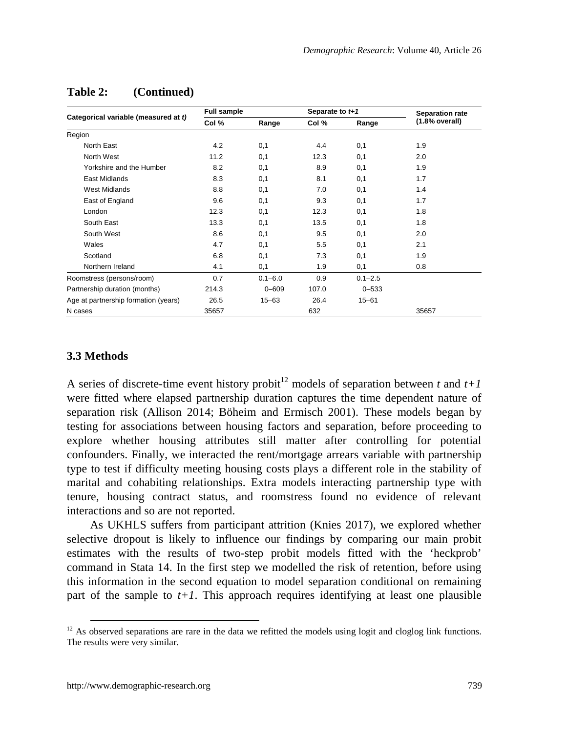|                                      | <b>Full sample</b> |             | Separate to t+1 |             | Separation rate |  |
|--------------------------------------|--------------------|-------------|-----------------|-------------|-----------------|--|
| Categorical variable (measured at t) | Col %              | Range       | Col %           | Range       | (1.8% overall)  |  |
| Region                               |                    |             |                 |             |                 |  |
| North East                           | 4.2                | 0,1         | 4.4             | 0,1         | 1.9             |  |
| North West                           | 11.2               | 0,1         | 12.3            | 0,1         | 2.0             |  |
| Yorkshire and the Humber             | 8.2                | 0,1         | 8.9             | 0,1         | 1.9             |  |
| East Midlands                        | 8.3                | 0,1         | 8.1             | 0,1         | 1.7             |  |
| West Midlands                        | 8.8                | 0,1         | 7.0             | 0,1         | 1.4             |  |
| East of England                      | 9.6                | 0,1         | 9.3             | 0,1         | 1.7             |  |
| London                               | 12.3               | 0,1         | 12.3            | 0,1         | 1.8             |  |
| South East                           | 13.3               | 0,1         | 13.5            | 0,1         | 1.8             |  |
| South West                           | 8.6                | 0,1         | 9.5             | 0,1         | 2.0             |  |
| Wales                                | 4.7                | 0,1         | 5.5             | 0,1         | 2.1             |  |
| Scotland                             | 6.8                | 0,1         | 7.3             | 0,1         | 1.9             |  |
| Northern Ireland                     | 4.1                | 0,1         | 1.9             | 0,1         | 0.8             |  |
| Roomstress (persons/room)            | 0.7                | $0.1 - 6.0$ | 0.9             | $0.1 - 2.5$ |                 |  |
| Partnership duration (months)        | 214.3              | $0 - 609$   | 107.0           | $0 - 533$   |                 |  |
| Age at partnership formation (years) | 26.5               | $15 - 63$   | 26.4            | $15 - 61$   |                 |  |
| N cases                              | 35657              |             | 632             |             | 35657           |  |

### **Table 2: (Continued)**

#### **3.3 Methods**

A series of discrete-time event history probit<sup>[12](#page-16-0)</sup> models of separation between *t* and  $t+1$ were fitted where elapsed partnership duration captures the time dependent nature of separation risk (Allison 2014; Böheim and Ermisch 2001). These models began by testing for associations between housing factors and separation, before proceeding to explore whether housing attributes still matter after controlling for potential confounders. Finally, we interacted the rent/mortgage arrears variable with partnership type to test if difficulty meeting housing costs plays a different role in the stability of marital and cohabiting relationships. Extra models interacting partnership type with tenure, housing contract status, and roomstress found no evidence of relevant interactions and so are not reported.

As UKHLS suffers from participant attrition (Knies 2017), we explored whether selective dropout is likely to influence our findings by comparing our main probit estimates with the results of two-step probit models fitted with the 'heckprob' command in Stata 14. In the first step we modelled the risk of retention, before using this information in the second equation to model separation conditional on remaining part of the sample to  $t+1$ . This approach requires identifying at least one plausible

<span id="page-16-0"></span> $12$  As observed separations are rare in the data we refitted the models using logit and cloglog link functions. The results were very similar.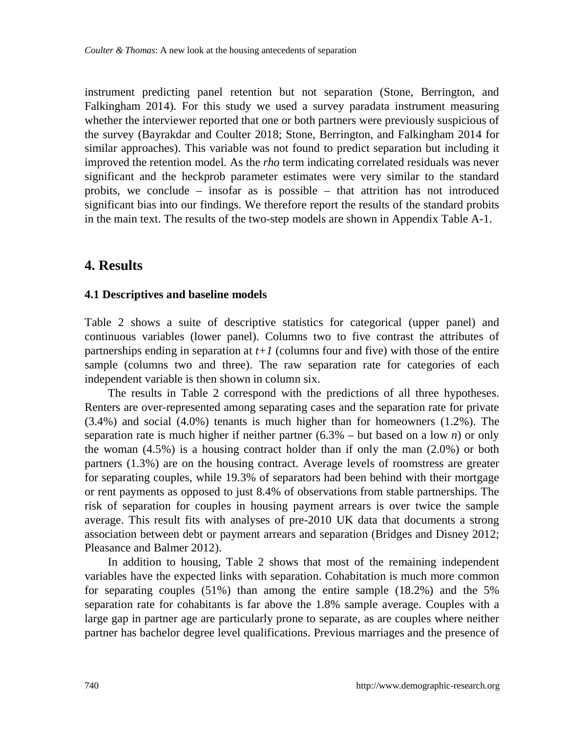instrument predicting panel retention but not separation (Stone, Berrington, and Falkingham 2014). For this study we used a survey paradata instrument measuring whether the interviewer reported that one or both partners were previously suspicious of the survey (Bayrakdar and Coulter 2018; Stone, Berrington, and Falkingham 2014 for similar approaches). This variable was not found to predict separation but including it improved the retention model. As the *rho* term indicating correlated residuals was never significant and the heckprob parameter estimates were very similar to the standard probits, we conclude – insofar as is possible – that attrition has not introduced significant bias into our findings. We therefore report the results of the standard probits in the main text. The results of the two-step models are shown in Appendix Table A-1.

## **4. Results**

#### **4.1 Descriptives and baseline models**

Table 2 shows a suite of descriptive statistics for categorical (upper panel) and continuous variables (lower panel). Columns two to five contrast the attributes of partnerships ending in separation at  $t+1$  (columns four and five) with those of the entire sample (columns two and three). The raw separation rate for categories of each independent variable is then shown in column six.

The results in Table 2 correspond with the predictions of all three hypotheses. Renters are over-represented among separating cases and the separation rate for private (3.4%) and social (4.0%) tenants is much higher than for homeowners (1.2%). The separation rate is much higher if neither partner  $(6.3% - \text{but based on a low } n)$  or only the woman  $(4.5\%)$  is a housing contract holder than if only the man  $(2.0\%)$  or both partners (1.3%) are on the housing contract. Average levels of roomstress are greater for separating couples, while 19.3% of separators had been behind with their mortgage or rent payments as opposed to just 8.4% of observations from stable partnerships. The risk of separation for couples in housing payment arrears is over twice the sample average. This result fits with analyses of pre-2010 UK data that documents a strong association between debt or payment arrears and separation (Bridges and Disney 2012; Pleasance and Balmer 2012).

In addition to housing, Table 2 shows that most of the remaining independent variables have the expected links with separation. Cohabitation is much more common for separating couples (51%) than among the entire sample (18.2%) and the 5% separation rate for cohabitants is far above the 1.8% sample average. Couples with a large gap in partner age are particularly prone to separate, as are couples where neither partner has bachelor degree level qualifications. Previous marriages and the presence of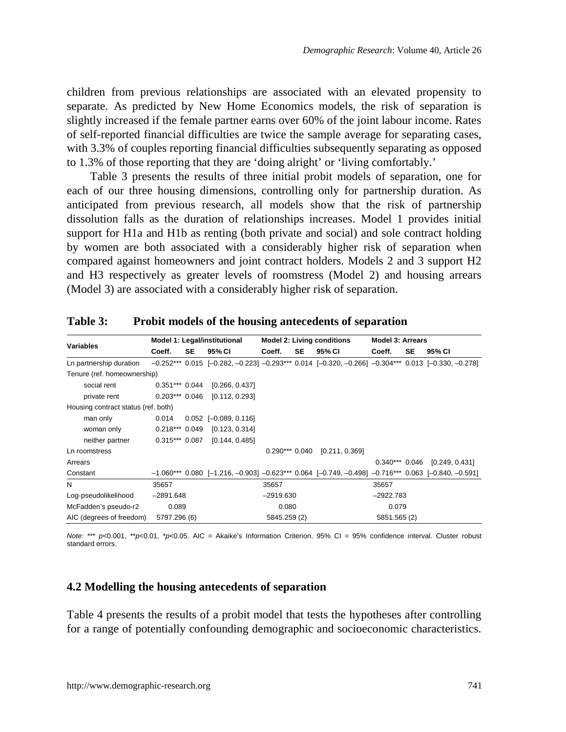children from previous relationships are associated with an elevated propensity to separate. As predicted by New Home Economics models, the risk of separation is slightly increased if the female partner earns over 60% of the joint labour income. Rates of self-reported financial difficulties are twice the sample average for separating cases, with 3.3% of couples reporting financial difficulties subsequently separating as opposed to 1.3% of those reporting that they are 'doing alright' or 'living comfortably.'

Table 3 presents the results of three initial probit models of separation, one for each of our three housing dimensions, controlling only for partnership duration. As anticipated from previous research, all models show that the risk of partnership dissolution falls as the duration of relationships increases. Model 1 provides initial support for H1a and H1b as renting (both private and social) and sole contract holding by women are both associated with a considerably higher risk of separation when compared against homeowners and joint contract holders. Models 2 and 3 support H2 and H3 respectively as greater levels of roomstress (Model 2) and housing arrears (Model 3) are associated with a considerably higher risk of separation.

|                                     |                  |    | Model 1: Legal/institutional                                                                                         | <b>Model 2: Living conditions</b> |           |                | <b>Model 3: Arrears</b> |              |    |                                 |  |
|-------------------------------------|------------------|----|----------------------------------------------------------------------------------------------------------------------|-----------------------------------|-----------|----------------|-------------------------|--------------|----|---------------------------------|--|
| <b>Variables</b>                    | Coeff.           | SE | 95% CI                                                                                                               | Coeff.                            | <b>SE</b> | 95% CI         |                         | Coeff.       | SE | 95% CI                          |  |
| Ln partnership duration             |                  |    | $-0.252***$ 0.015 [ $-0.282, -0.223$ ] $-0.293***$ 0.014 [ $-0.320, -0.266$ ] $-0.304***$ 0.013 [ $-0.330, -0.278$ ] |                                   |           |                |                         |              |    |                                 |  |
| Tenure (ref. homeownership)         |                  |    |                                                                                                                      |                                   |           |                |                         |              |    |                                 |  |
| social rent                         | $0.351***$ 0.044 |    | [0.266, 0.437]                                                                                                       |                                   |           |                |                         |              |    |                                 |  |
| private rent                        | $0.203***$ 0.046 |    | [0.112, 0.293]                                                                                                       |                                   |           |                |                         |              |    |                                 |  |
| Housing contract status (ref. both) |                  |    |                                                                                                                      |                                   |           |                |                         |              |    |                                 |  |
| man only                            | 0.014            |    | $0.052$ [-0.089, 0.116]                                                                                              |                                   |           |                |                         |              |    |                                 |  |
| woman only                          | $0.218***$ 0.049 |    | [0.123, 0.314]                                                                                                       |                                   |           |                |                         |              |    |                                 |  |
| neither partner                     | $0.315***$ 0.087 |    | [0.144, 0.485]                                                                                                       |                                   |           |                |                         |              |    |                                 |  |
| Ln roomstress                       |                  |    |                                                                                                                      | $0.290***0.040$                   |           | [0.211, 0.369] |                         |              |    |                                 |  |
| Arrears                             |                  |    |                                                                                                                      |                                   |           |                |                         |              |    | $0.340***$ 0.046 [0.249, 0.431] |  |
| Constant                            |                  |    | $-1.060***$ 0.080 [-1.216, -0.903] $-0.623***$ 0.064 [-0.749, -0.498] $-0.716***$ 0.063 [-0.840, -0.591]             |                                   |           |                |                         |              |    |                                 |  |
| N                                   | 35657            |    |                                                                                                                      | 35657                             |           |                |                         | 35657        |    |                                 |  |
| Log-pseudolikelihood                | $-2891.648$      |    |                                                                                                                      | $-2919.630$                       |           |                |                         | $-2922.783$  |    |                                 |  |
| McFadden's pseudo-r2                | 0.089            |    |                                                                                                                      | 0.080                             |           |                |                         | 0.079        |    |                                 |  |
| AIC (degrees of freedom)            | 5797.296 (6)     |    |                                                                                                                      | 5845.259 (2)                      |           |                |                         | 5851.565 (2) |    |                                 |  |

**Table 3: Probit models of the housing antecedents of separation**

*Note*: \*\*\* *p*<0.001, \*\**p*<0.01, \**p*<0.05. AIC = Akaike's Information Criterion. 95% CI = 95% confidence interval. Cluster robust standard errors.

#### **4.2 Modelling the housing antecedents of separation**

Table 4 presents the results of a probit model that tests the hypotheses after controlling for a range of potentially confounding demographic and socioeconomic characteristics.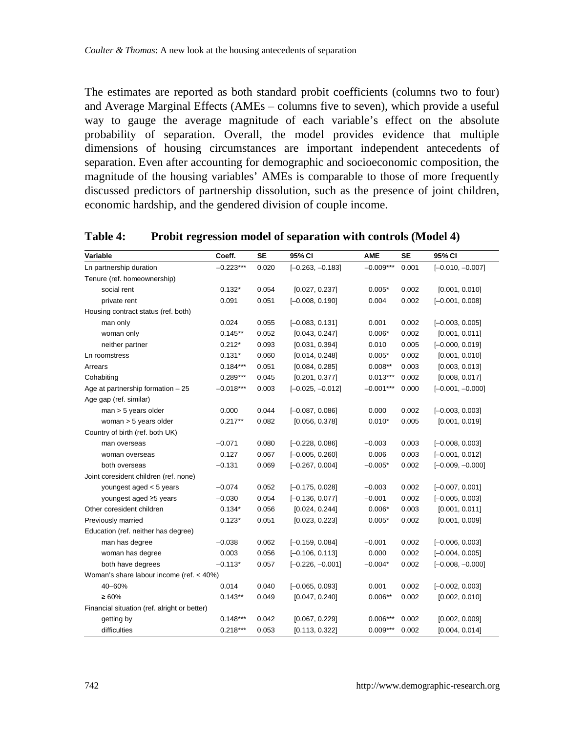The estimates are reported as both standard probit coefficients (columns two to four) and Average Marginal Effects (AMEs – columns five to seven), which provide a useful way to gauge the average magnitude of each variable's effect on the absolute probability of separation. Overall, the model provides evidence that multiple dimensions of housing circumstances are important independent antecedents of separation. Even after accounting for demographic and socioeconomic composition, the magnitude of the housing variables' AMEs is comparable to those of more frequently discussed predictors of partnership dissolution, such as the presence of joint children, economic hardship, and the gendered division of couple income.

| Variable                                     | Coeff.      | <b>SE</b> | 95% CI             | <b>AME</b>  | <b>SE</b> | 95% CI             |
|----------------------------------------------|-------------|-----------|--------------------|-------------|-----------|--------------------|
| Ln partnership duration                      | $-0.223***$ | 0.020     | $[-0.263, -0.183]$ | $-0.009***$ | 0.001     | $[-0.010, -0.007]$ |
| Tenure (ref. homeownership)                  |             |           |                    |             |           |                    |
| social rent                                  | $0.132*$    | 0.054     | [0.027, 0.237]     | $0.005*$    | 0.002     | [0.001, 0.010]     |
| private rent                                 | 0.091       | 0.051     | $[-0.008, 0.190]$  | 0.004       | 0.002     | $[-0.001, 0.008]$  |
| Housing contract status (ref. both)          |             |           |                    |             |           |                    |
| man only                                     | 0.024       | 0.055     | $[-0.083, 0.131]$  | 0.001       | 0.002     | $[-0.003, 0.005]$  |
| woman only                                   | $0.145**$   | 0.052     | [0.043, 0.247]     | $0.006*$    | 0.002     | [0.001, 0.011]     |
| neither partner                              | $0.212*$    | 0.093     | [0.031, 0.394]     | 0.010       | 0.005     | $[-0.000, 0.019]$  |
| Ln roomstress                                | $0.131*$    | 0.060     | [0.014, 0.248]     | $0.005*$    | 0.002     | [0.001, 0.010]     |
| Arrears                                      | $0.184***$  | 0.051     | [0.084, 0.285]     | $0.008**$   | 0.003     | [0.003, 0.013]     |
| Cohabiting                                   | $0.289***$  | 0.045     | [0.201, 0.377]     | $0.013***$  | 0.002     | [0.008, 0.017]     |
| Age at partnership formation - 25            | $-0.018***$ | 0.003     | $[-0.025, -0.012]$ | $-0.001***$ | 0.000     | $[-0.001, -0.000]$ |
| Age gap (ref. similar)                       |             |           |                    |             |           |                    |
| $man > 5$ years older                        | 0.000       | 0.044     | $[-0.087, 0.086]$  | 0.000       | 0.002     | $[-0.003, 0.003]$  |
| woman $>$ 5 years older                      | $0.217**$   | 0.082     | [0.056, 0.378]     | $0.010*$    | 0.005     | [0.001, 0.019]     |
| Country of birth (ref. both UK)              |             |           |                    |             |           |                    |
| man overseas                                 | $-0.071$    | 0.080     | $[-0.228, 0.086]$  | $-0.003$    | 0.003     | $[-0.008, 0.003]$  |
| woman overseas                               | 0.127       | 0.067     | $[-0.005, 0.260]$  | 0.006       | 0.003     | $[-0.001, 0.012]$  |
| both overseas                                | $-0.131$    | 0.069     | $[-0.267, 0.004]$  | $-0.005*$   | 0.002     | $[-0.009, -0.000]$ |
| Joint coresident children (ref. none)        |             |           |                    |             |           |                    |
| youngest aged < 5 years                      | $-0.074$    | 0.052     | $[-0.175, 0.028]$  | $-0.003$    | 0.002     | $[-0.007, 0.001]$  |
| youngest aged ≥5 years                       | $-0.030$    | 0.054     | $[-0.136, 0.077]$  | $-0.001$    | 0.002     | $[-0.005, 0.003]$  |
| Other coresident children                    | $0.134*$    | 0.056     | [0.024, 0.244]     | $0.006*$    | 0.003     | [0.001, 0.011]     |
| Previously married                           | $0.123*$    | 0.051     | [0.023, 0.223]     | $0.005*$    | 0.002     | [0.001, 0.009]     |
| Education (ref. neither has degree)          |             |           |                    |             |           |                    |
| man has degree                               | $-0.038$    | 0.062     | $[-0.159, 0.084]$  | $-0.001$    | 0.002     | $[-0.006, 0.003]$  |
| woman has degree                             | 0.003       | 0.056     | $[-0.106, 0.113]$  | 0.000       | 0.002     | $[-0.004, 0.005]$  |
| both have degrees                            | $-0.113*$   | 0.057     | $[-0.226, -0.001]$ | $-0.004*$   | 0.002     | $[-0.008, -0.000]$ |
| Woman's share labour income (ref. < 40%)     |             |           |                    |             |           |                    |
| 40-60%                                       | 0.014       | 0.040     | $[-0.065, 0.093]$  | 0.001       | 0.002     | $[-0.002, 0.003]$  |
| $\geq 60\%$                                  | $0.143**$   | 0.049     | [0.047, 0.240]     | $0.006**$   | 0.002     | [0.002, 0.010]     |
| Financial situation (ref. alright or better) |             |           |                    |             |           |                    |
| getting by                                   | $0.148***$  | 0.042     | [0.067, 0.229]     | $0.006***$  | 0.002     | [0.002, 0.009]     |
| difficulties                                 | $0.218***$  | 0.053     | [0.113, 0.322]     | $0.009***$  | 0.002     | [0.004, 0.014]     |

**Table 4: Probit regression model of separation with controls (Model 4)**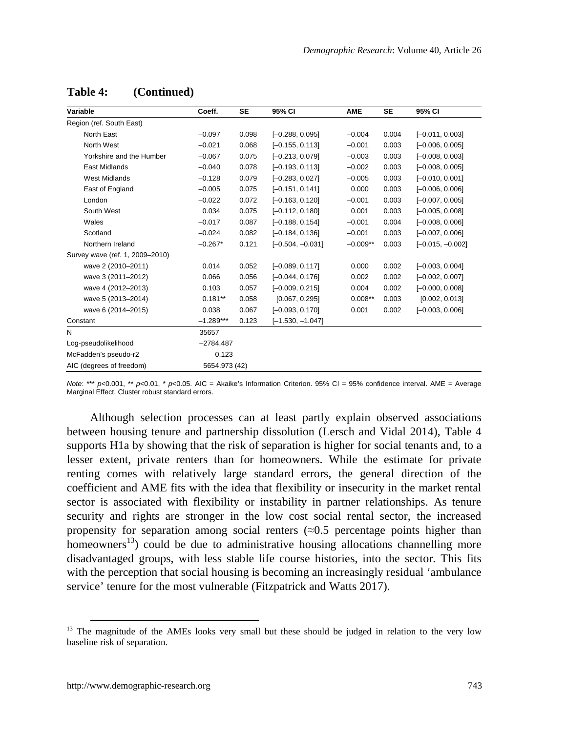| Variable                        | Coeff.        | <b>SE</b> | 95% CI             | <b>AME</b> | <b>SE</b> | 95% CI             |
|---------------------------------|---------------|-----------|--------------------|------------|-----------|--------------------|
| Region (ref. South East)        |               |           |                    |            |           |                    |
| North East                      | $-0.097$      | 0.098     | $[-0.288, 0.095]$  | $-0.004$   | 0.004     | $[-0.011, 0.003]$  |
| North West                      | $-0.021$      | 0.068     | $[-0.155, 0.113]$  | $-0.001$   | 0.003     | $[-0.006, 0.005]$  |
| Yorkshire and the Humber        | $-0.067$      | 0.075     | $[-0.213, 0.079]$  | $-0.003$   | 0.003     | $[-0.008, 0.003]$  |
| <b>East Midlands</b>            | $-0.040$      | 0.078     | $[-0.193, 0.113]$  | $-0.002$   | 0.003     | $[-0.008, 0.005]$  |
| <b>West Midlands</b>            | $-0.128$      | 0.079     | $[-0.283, 0.027]$  | $-0.005$   | 0.003     | $[-0.010, 0.001]$  |
| East of England                 | $-0.005$      | 0.075     | $[-0.151, 0.141]$  | 0.000      | 0.003     | $[-0.006, 0.006]$  |
| London                          | $-0.022$      | 0.072     | $[-0.163, 0.120]$  | $-0.001$   | 0.003     | $[-0.007, 0.005]$  |
| South West                      | 0.034         | 0.075     | $[-0.112, 0.180]$  | 0.001      | 0.003     | $[-0.005, 0.008]$  |
| Wales                           | $-0.017$      | 0.087     | $[-0.188, 0.154]$  | $-0.001$   | 0.004     | $[-0.008, 0.006]$  |
| Scotland                        | $-0.024$      | 0.082     | $[-0.184, 0.136]$  | $-0.001$   | 0.003     | $[-0.007, 0.006]$  |
| Northern Ireland                | $-0.267*$     | 0.121     | $[-0.504, -0.031]$ | $-0.009**$ | 0.003     | $[-0.015, -0.002]$ |
| Survey wave (ref. 1, 2009-2010) |               |           |                    |            |           |                    |
| wave 2 (2010-2011)              | 0.014         | 0.052     | $[-0.089, 0.117]$  | 0.000      | 0.002     | $[-0.003, 0.004]$  |
| wave 3 (2011-2012)              | 0.066         | 0.056     | $[-0.044, 0.176]$  | 0.002      | 0.002     | $[-0.002, 0.007]$  |
| wave 4 (2012-2013)              | 0.103         | 0.057     | $[-0.009, 0.215]$  | 0.004      | 0.002     | $[-0.000, 0.008]$  |
| wave 5 (2013-2014)              | $0.181**$     | 0.058     | [0.067, 0.295]     | $0.008**$  | 0.003     | [0.002, 0.013]     |
| wave 6 (2014-2015)              | 0.038         | 0.067     | $[-0.093, 0.170]$  | 0.001      | 0.002     | $[-0.003, 0.006]$  |
| Constant                        | $-1.289***$   | 0.123     | $[-1.530, -1.047]$ |            |           |                    |
| N                               | 35657         |           |                    |            |           |                    |
| Log-pseudolikelihood            | $-2784.487$   |           |                    |            |           |                    |
| McFadden's pseudo-r2            | 0.123         |           |                    |            |           |                    |
| AIC (degrees of freedom)        | 5654.973 (42) |           |                    |            |           |                    |

**Table 4: (Continued)**

*Note*: \*\*\* *p*<0.001, \*\* *p*<0.01, \* *p*<0.05. AIC = Akaike's Information Criterion. 95% CI = 95% confidence interval. AME = Average Marginal Effect. Cluster robust standard errors.

Although selection processes can at least partly explain observed associations between housing tenure and partnership dissolution (Lersch and Vidal 2014), Table 4 supports H1a by showing that the risk of separation is higher for social tenants and, to a lesser extent, private renters than for homeowners. While the estimate for private renting comes with relatively large standard errors, the general direction of the coefficient and AME fits with the idea that flexibility or insecurity in the market rental sector is associated with flexibility or instability in partner relationships. As tenure security and rights are stronger in the low cost social rental sector, the increased propensity for separation among social renters  $\approx 0.5$  percentage points higher than homeowners<sup>[13](#page-20-0)</sup>) could be due to administrative housing allocations channelling more disadvantaged groups, with less stable life course histories, into the sector. This fits with the perception that social housing is becoming an increasingly residual 'ambulance service' tenure for the most vulnerable (Fitzpatrick and Watts 2017).

<span id="page-20-0"></span><sup>&</sup>lt;sup>13</sup> The magnitude of the AMEs looks very small but these should be judged in relation to the very low baseline risk of separation.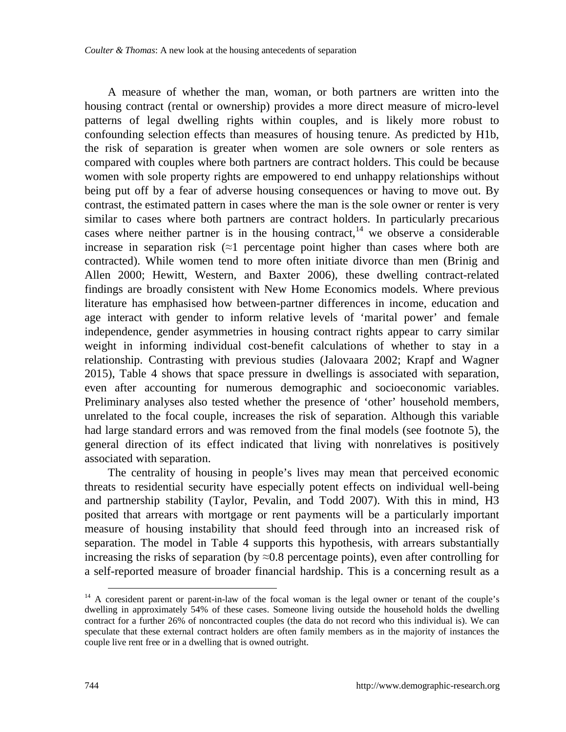A measure of whether the man, woman, or both partners are written into the housing contract (rental or ownership) provides a more direct measure of micro-level patterns of legal dwelling rights within couples, and is likely more robust to confounding selection effects than measures of housing tenure. As predicted by H1b, the risk of separation is greater when women are sole owners or sole renters as compared with couples where both partners are contract holders. This could be because women with sole property rights are empowered to end unhappy relationships without being put off by a fear of adverse housing consequences or having to move out. By contrast, the estimated pattern in cases where the man is the sole owner or renter is very similar to cases where both partners are contract holders. In particularly precarious cases where neither partner is in the housing contract,  $\frac{1}{4}$  we observe a considerable increase in separation risk  $(\approx 1)$  percentage point higher than cases where both are contracted). While women tend to more often initiate divorce than men (Brinig and Allen 2000; Hewitt, Western, and Baxter 2006), these dwelling contract-related findings are broadly consistent with New Home Economics models. Where previous literature has emphasised how between-partner differences in income, education and age interact with gender to inform relative levels of 'marital power' and female independence, gender asymmetries in housing contract rights appear to carry similar weight in informing individual cost-benefit calculations of whether to stay in a relationship. Contrasting with previous studies (Jalovaara 2002; Krapf and Wagner 2015), Table 4 shows that space pressure in dwellings is associated with separation, even after accounting for numerous demographic and socioeconomic variables. Preliminary analyses also tested whether the presence of 'other' household members, unrelated to the focal couple, increases the risk of separation. Although this variable had large standard errors and was removed from the final models (see footnote 5), the general direction of its effect indicated that living with nonrelatives is positively associated with separation.

The centrality of housing in people's lives may mean that perceived economic threats to residential security have especially potent effects on individual well-being and partnership stability (Taylor, Pevalin, and Todd 2007). With this in mind, H3 posited that arrears with mortgage or rent payments will be a particularly important measure of housing instability that should feed through into an increased risk of separation. The model in Table 4 supports this hypothesis, with arrears substantially increasing the risks of separation (by  $\approx 0.8$  percentage points), even after controlling for a self-reported measure of broader financial hardship. This is a concerning result as a

<span id="page-21-0"></span><sup>&</sup>lt;sup>14</sup> A coresident parent or parent-in-law of the focal woman is the legal owner or tenant of the couple's dwelling in approximately 54% of these cases. Someone living outside the household holds the dwelling contract for a further 26% of noncontracted couples (the data do not record who this individual is). We can speculate that these external contract holders are often family members as in the majority of instances the couple live rent free or in a dwelling that is owned outright.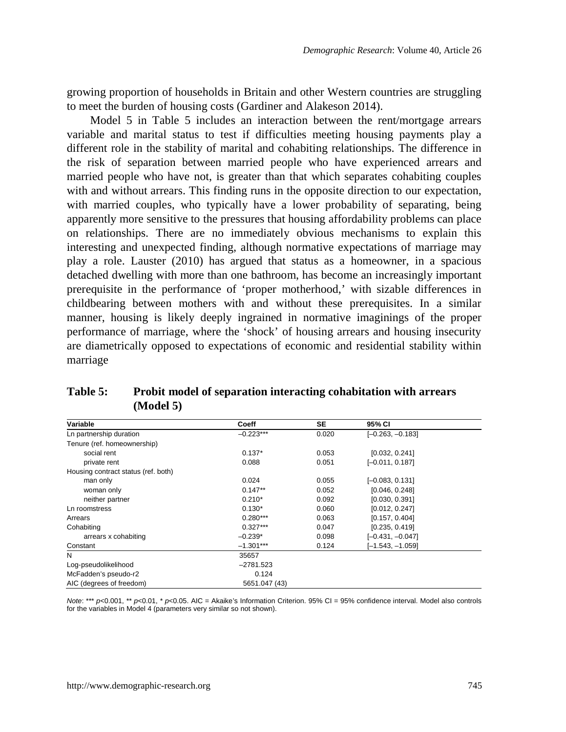growing proportion of households in Britain and other Western countries are struggling to meet the burden of housing costs (Gardiner and Alakeson 2014).

Model 5 in Table 5 includes an interaction between the rent/mortgage arrears variable and marital status to test if difficulties meeting housing payments play a different role in the stability of marital and cohabiting relationships. The difference in the risk of separation between married people who have experienced arrears and married people who have not, is greater than that which separates cohabiting couples with and without arrears. This finding runs in the opposite direction to our expectation, with married couples, who typically have a lower probability of separating, being apparently more sensitive to the pressures that housing affordability problems can place on relationships. There are no immediately obvious mechanisms to explain this interesting and unexpected finding, although normative expectations of marriage may play a role. Lauster (2010) has argued that status as a homeowner, in a spacious detached dwelling with more than one bathroom, has become an increasingly important prerequisite in the performance of 'proper motherhood,' with sizable differences in childbearing between mothers with and without these prerequisites. In a similar manner, housing is likely deeply ingrained in normative imaginings of the proper performance of marriage, where the 'shock' of housing arrears and housing insecurity are diametrically opposed to expectations of economic and residential stability within marriage

| Table 5: | Probit model of separation interacting cohabitation with arrears |
|----------|------------------------------------------------------------------|
|          | (Model 5)                                                        |

| Variable                            | Coeff         | SE    | 95% CI             |  |
|-------------------------------------|---------------|-------|--------------------|--|
| Ln partnership duration             | $-0.223***$   | 0.020 | $[-0.263, -0.183]$ |  |
| Tenure (ref. homeownership)         |               |       |                    |  |
| social rent                         | $0.137*$      | 0.053 | [0.032, 0.241]     |  |
| private rent                        | 0.088         | 0.051 | $[-0.011, 0.187]$  |  |
| Housing contract status (ref. both) |               |       |                    |  |
| man only                            | 0.024         | 0.055 | $[-0.083, 0.131]$  |  |
| woman only                          | $0.147**$     | 0.052 | [0.046, 0.248]     |  |
| neither partner                     | $0.210*$      | 0.092 | [0.030, 0.391]     |  |
| Ln roomstress                       | $0.130*$      | 0.060 | [0.012, 0.247]     |  |
| Arrears                             | $0.280***$    | 0.063 | [0.157, 0.404]     |  |
| Cohabiting                          | $0.327***$    | 0.047 | [0.235, 0.419]     |  |
| arrears x cohabiting                | $-0.239*$     | 0.098 | $[-0.431, -0.047]$ |  |
| Constant                            | $-1.301***$   | 0.124 | $[-1.543, -1.059]$ |  |
| N                                   | 35657         |       |                    |  |
| Log-pseudolikelihood                | $-2781.523$   |       |                    |  |
| McFadden's pseudo-r2                | 0.124         |       |                    |  |
| AIC (degrees of freedom)            | 5651.047 (43) |       |                    |  |

*Note*: \*\*\* *p*<0.001, \*\* *p*<0.01, \* *p*<0.05. AIC = Akaike's Information Criterion. 95% CI = 95% confidence interval. Model also controls for the variables in Model 4 (parameters very similar so not shown).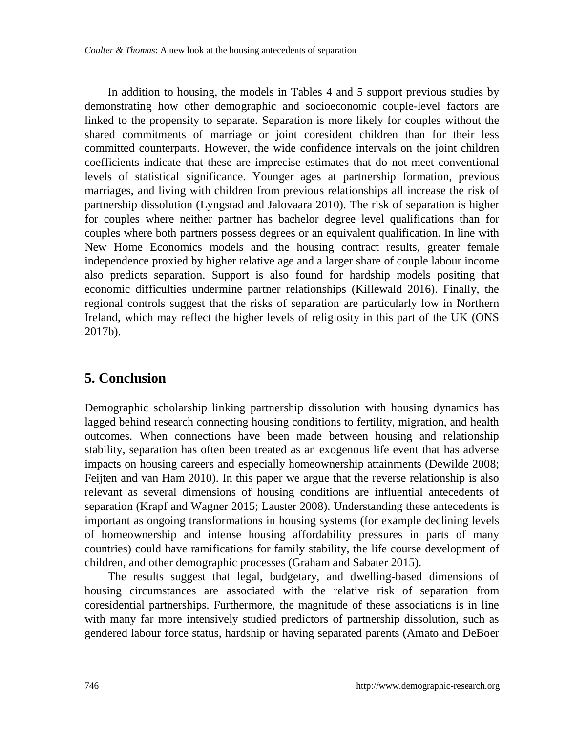In addition to housing, the models in Tables 4 and 5 support previous studies by demonstrating how other demographic and socioeconomic couple-level factors are linked to the propensity to separate. Separation is more likely for couples without the shared commitments of marriage or joint coresident children than for their less committed counterparts. However, the wide confidence intervals on the joint children coefficients indicate that these are imprecise estimates that do not meet conventional levels of statistical significance. Younger ages at partnership formation, previous marriages, and living with children from previous relationships all increase the risk of partnership dissolution (Lyngstad and Jalovaara 2010). The risk of separation is higher for couples where neither partner has bachelor degree level qualifications than for couples where both partners possess degrees or an equivalent qualification. In line with New Home Economics models and the housing contract results, greater female independence proxied by higher relative age and a larger share of couple labour income also predicts separation. Support is also found for hardship models positing that economic difficulties undermine partner relationships (Killewald 2016). Finally, the regional controls suggest that the risks of separation are particularly low in Northern Ireland, which may reflect the higher levels of religiosity in this part of the UK (ONS 2017b).

## **5. Conclusion**

Demographic scholarship linking partnership dissolution with housing dynamics has lagged behind research connecting housing conditions to fertility, migration, and health outcomes. When connections have been made between housing and relationship stability, separation has often been treated as an exogenous life event that has adverse impacts on housing careers and especially homeownership attainments (Dewilde 2008; Feijten and van Ham 2010). In this paper we argue that the reverse relationship is also relevant as several dimensions of housing conditions are influential antecedents of separation (Krapf and Wagner 2015; Lauster 2008). Understanding these antecedents is important as ongoing transformations in housing systems (for example declining levels of homeownership and intense housing affordability pressures in parts of many countries) could have ramifications for family stability, the life course development of children, and other demographic processes (Graham and Sabater 2015).

The results suggest that legal, budgetary, and dwelling-based dimensions of housing circumstances are associated with the relative risk of separation from coresidential partnerships. Furthermore, the magnitude of these associations is in line with many far more intensively studied predictors of partnership dissolution, such as gendered labour force status, hardship or having separated parents (Amato and DeBoer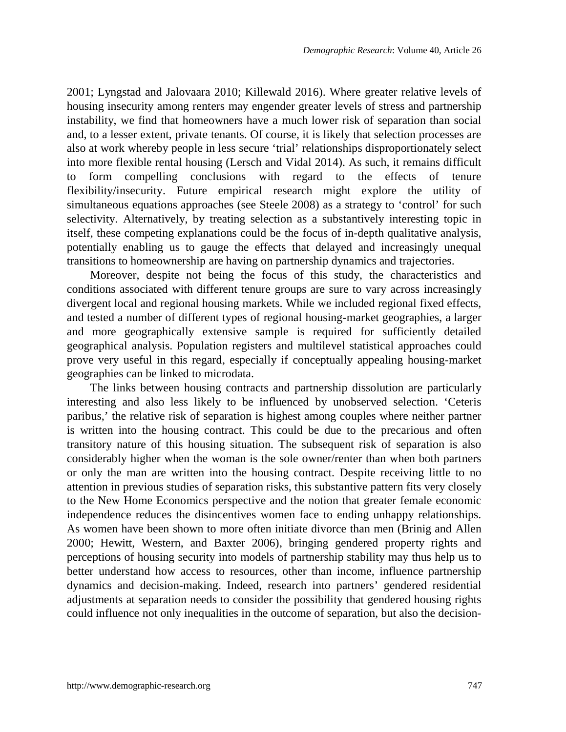2001; Lyngstad and Jalovaara 2010; Killewald 2016). Where greater relative levels of housing insecurity among renters may engender greater levels of stress and partnership instability, we find that homeowners have a much lower risk of separation than social and, to a lesser extent, private tenants. Of course, it is likely that selection processes are also at work whereby people in less secure 'trial' relationships disproportionately select into more flexible rental housing (Lersch and Vidal 2014). As such, it remains difficult to form compelling conclusions with regard to the effects of tenure flexibility/insecurity. Future empirical research might explore the utility of simultaneous equations approaches (see Steele 2008) as a strategy to 'control' for such selectivity. Alternatively, by treating selection as a substantively interesting topic in itself, these competing explanations could be the focus of in-depth qualitative analysis, potentially enabling us to gauge the effects that delayed and increasingly unequal transitions to homeownership are having on partnership dynamics and trajectories.

Moreover, despite not being the focus of this study, the characteristics and conditions associated with different tenure groups are sure to vary across increasingly divergent local and regional housing markets. While we included regional fixed effects, and tested a number of different types of regional housing-market geographies, a larger and more geographically extensive sample is required for sufficiently detailed geographical analysis. Population registers and multilevel statistical approaches could prove very useful in this regard, especially if conceptually appealing housing-market geographies can be linked to microdata.

The links between housing contracts and partnership dissolution are particularly interesting and also less likely to be influenced by unobserved selection. 'Ceteris paribus,' the relative risk of separation is highest among couples where neither partner is written into the housing contract. This could be due to the precarious and often transitory nature of this housing situation. The subsequent risk of separation is also considerably higher when the woman is the sole owner/renter than when both partners or only the man are written into the housing contract. Despite receiving little to no attention in previous studies of separation risks, this substantive pattern fits very closely to the New Home Economics perspective and the notion that greater female economic independence reduces the disincentives women face to ending unhappy relationships. As women have been shown to more often initiate divorce than men (Brinig and Allen 2000; Hewitt, Western, and Baxter 2006), bringing gendered property rights and perceptions of housing security into models of partnership stability may thus help us to better understand how access to resources, other than income, influence partnership dynamics and decision-making. Indeed, research into partners' gendered residential adjustments at separation needs to consider the possibility that gendered housing rights could influence not only inequalities in the outcome of separation, but also the decision-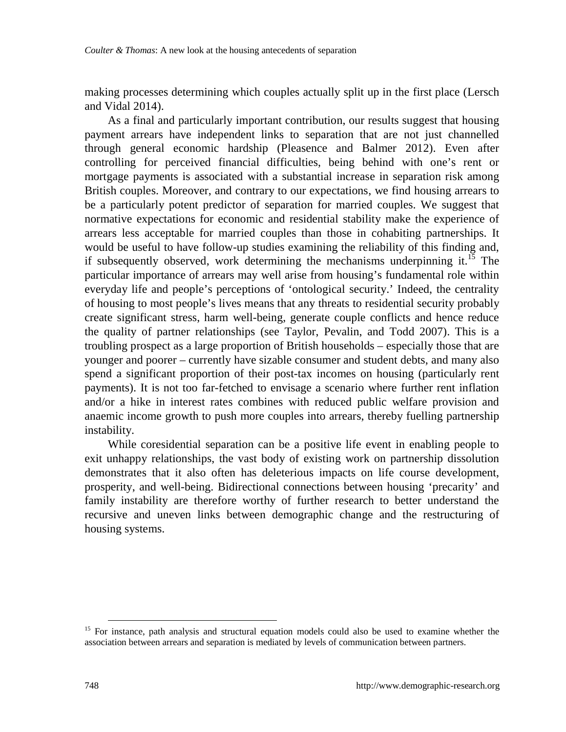making processes determining which couples actually split up in the first place (Lersch and Vidal 2014).

As a final and particularly important contribution, our results suggest that housing payment arrears have independent links to separation that are not just channelled through general economic hardship (Pleasence and Balmer 2012). Even after controlling for perceived financial difficulties, being behind with one's rent or mortgage payments is associated with a substantial increase in separation risk among British couples. Moreover, and contrary to our expectations, we find housing arrears to be a particularly potent predictor of separation for married couples. We suggest that normative expectations for economic and residential stability make the experience of arrears less acceptable for married couples than those in cohabiting partnerships. It would be useful to have follow-up studies examining the reliability of this finding and, if subsequently observed, work determining the mechanisms underpinning it.<sup>[15](#page-25-0)</sup> The particular importance of arrears may well arise from housing's fundamental role within everyday life and people's perceptions of 'ontological security.' Indeed, the centrality of housing to most people's lives means that any threats to residential security probably create significant stress, harm well-being, generate couple conflicts and hence reduce the quality of partner relationships (see Taylor, Pevalin, and Todd 2007). This is a troubling prospect as a large proportion of British households – especially those that are younger and poorer – currently have sizable consumer and student debts, and many also spend a significant proportion of their post-tax incomes on housing (particularly rent payments). It is not too far-fetched to envisage a scenario where further rent inflation and/or a hike in interest rates combines with reduced public welfare provision and anaemic income growth to push more couples into arrears, thereby fuelling partnership instability.

While coresidential separation can be a positive life event in enabling people to exit unhappy relationships, the vast body of existing work on partnership dissolution demonstrates that it also often has deleterious impacts on life course development, prosperity, and well-being. Bidirectional connections between housing 'precarity' and family instability are therefore worthy of further research to better understand the recursive and uneven links between demographic change and the restructuring of housing systems.

<span id="page-25-0"></span><sup>&</sup>lt;sup>15</sup> For instance, path analysis and structural equation models could also be used to examine whether the association between arrears and separation is mediated by levels of communication between partners.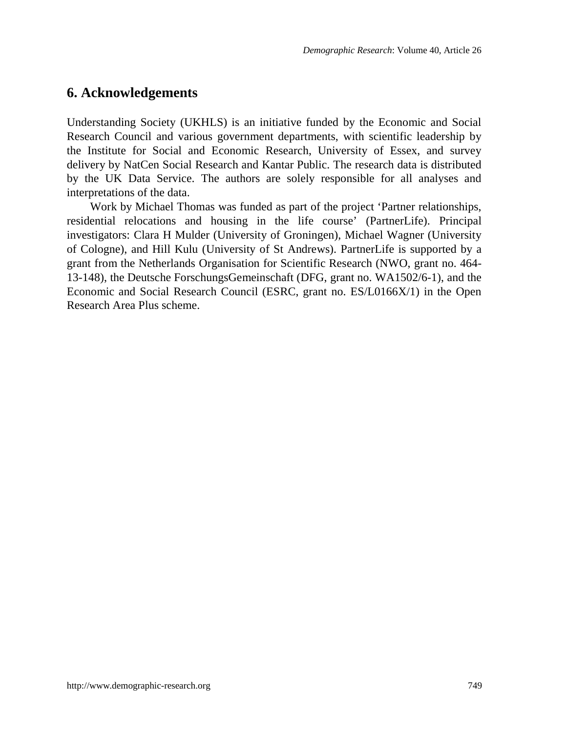## **6. Acknowledgements**

Understanding Society (UKHLS) is an initiative funded by the Economic and Social Research Council and various government departments, with scientific leadership by the Institute for Social and Economic Research, University of Essex, and survey delivery by NatCen Social Research and Kantar Public. The research data is distributed by the UK Data Service. The authors are solely responsible for all analyses and interpretations of the data.

Work by Michael Thomas was funded as part of the project 'Partner relationships, residential relocations and housing in the life course' (PartnerLife). Principal investigators: Clara H Mulder (University of Groningen), Michael Wagner (University of Cologne), and Hill Kulu (University of St Andrews). PartnerLife is supported by a grant from the Netherlands Organisation for Scientific Research (NWO, grant no. 464- 13-148), the Deutsche ForschungsGemeinschaft (DFG, grant no. WA1502/6-1), and the Economic and Social Research Council (ESRC, grant no. ES/L0166X/1) in the Open Research Area Plus scheme.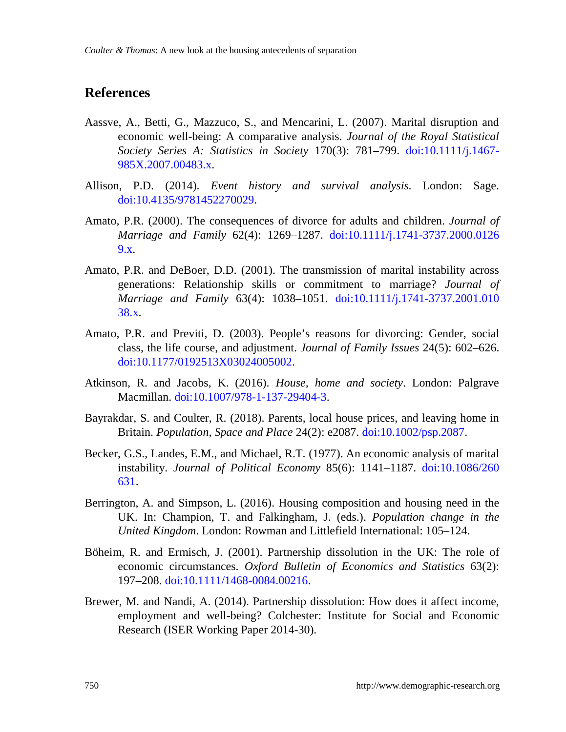### **References**

- Aassve, A., Betti, G., Mazzuco, S., and Mencarini, L. (2007). Marital disruption and economic well-being: A comparative analysis. *Journal of the Royal Statistical Society Series A: Statistics in Society* 170(3): 781–799. [doi:10.1111/j.1467-](https://doi.org/10.1111/j.1467-985X.2007.00483.x) [985X.2007.00483.x.](https://doi.org/10.1111/j.1467-985X.2007.00483.x)
- Allison, P.D. (2014). *Event history and survival analysis*. London: Sage. [doi:10.4135/9781452270029.](https://doi.org/10.4135/9781452270029)
- Amato, P.R. (2000). The consequences of divorce for adults and children. *Journal of Marriage and Family* 62(4): 1269–1287. [doi:10.1111/j.1741-3737.2000.0126](https://doi.org/10.1111/j.1741-3737.2000.01269.x) [9.x.](https://doi.org/10.1111/j.1741-3737.2000.01269.x)
- Amato, P.R. and DeBoer, D.D. (2001). The transmission of marital instability across generations: Relationship skills or commitment to marriage? *Journal of Marriage and Family* 63(4): 1038–1051. [doi:10.1111/j.1741-3737.2001.010](https://doi.org/10.1111/j.1741-3737.2001.01038.x) [38.x.](https://doi.org/10.1111/j.1741-3737.2001.01038.x)
- Amato, P.R. and Previti, D. (2003). People's reasons for divorcing: Gender, social class, the life course, and adjustment. *Journal of Family Issues* 24(5): 602–626. [doi:10.1177/0192513X03024005002.](https://doi.org/10.1177/0192513X03024005002)
- Atkinson, R. and Jacobs, K. (2016). *House, home and society*. London: Palgrave Macmillan. [doi:10.1007/978-1-137-29404-3.](https://doi.org/10.1007/978-1-137-29404-3)
- Bayrakdar, S. and Coulter, R. (2018). Parents, local house prices, and leaving home in Britain. *Population, Space and Place* 24(2): e2087. [doi:10.1002/psp.2087.](https://doi.org/10.1002/psp.2087)
- Becker, G.S., Landes, E.M., and Michael, R.T. (1977). An economic analysis of marital instability. *Journal of Political Economy* 85(6): 1141–1187. [doi:10.1086/260](https://doi.org/10.1086/260631) [631.](https://doi.org/10.1086/260631)
- Berrington, A. and Simpson, L. (2016). Housing composition and housing need in the UK. In: Champion, T. and Falkingham, J. (eds.). *Population change in the United Kingdom*. London: Rowman and Littlefield International: 105–124.
- Böheim, R. and Ermisch, J. (2001). Partnership dissolution in the UK: The role of economic circumstances. *Oxford Bulletin of Economics and Statistics* 63(2): 197–208. [doi:10.1111/1468-0084.00216.](https://doi.org/10.1111/1468-0084.00216)
- Brewer, M. and Nandi, A. (2014). Partnership dissolution: How does it affect income, employment and well-being? Colchester: Institute for Social and Economic Research (ISER Working Paper 2014-30).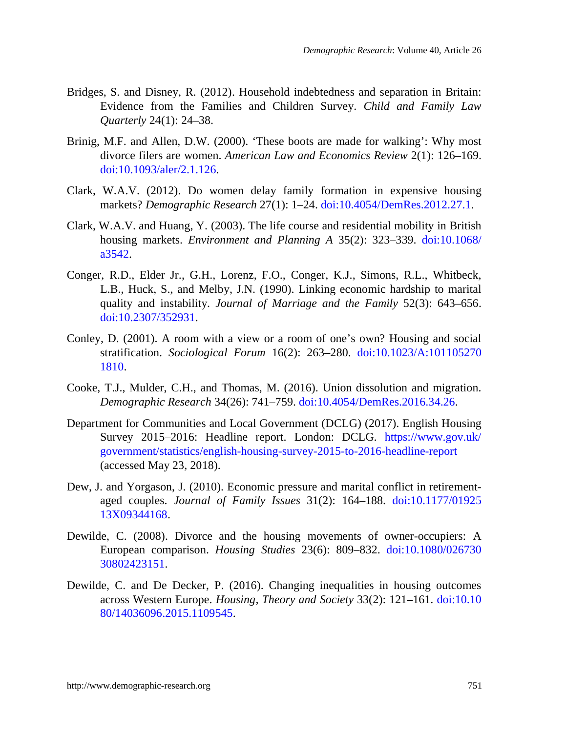- Bridges, S. and Disney, R. (2012). Household indebtedness and separation in Britain: Evidence from the Families and Children Survey. *Child and Family Law Quarterly* 24(1): 24–38.
- Brinig, M.F. and Allen, D.W. (2000). 'These boots are made for walking': Why most divorce filers are women. *American Law and Economics Review* 2(1): 126–169. [doi:10.1093/aler/2.1.126.](https://doi.org/10.1093/aler/2.1.126)
- Clark, W.A.V. (2012). Do women delay family formation in expensive housing markets? *Demographic Research* 27(1): 1–24. [doi:10.4054/DemRes.2012.27.1.](https://doi.org/10.4054/DemRes.2012.27.1)
- Clark, W.A.V. and Huang, Y. (2003). The life course and residential mobility in British housing markets. *Environment and Planning A* 35(2): 323–339. [doi:10.1068/](https://doi.org/10.1068/a3542) [a3542.](https://doi.org/10.1068/a3542)
- Conger, R.D., Elder Jr., G.H., Lorenz, F.O., Conger, K.J., Simons, R.L., Whitbeck, L.B., Huck, S., and Melby, J.N. (1990). Linking economic hardship to marital quality and instability. *Journal of Marriage and the Family* 52(3): 643–656. [doi:10.2307/352931.](https://doi.org/10.2307/352931)
- Conley, D. (2001). A room with a view or a room of one's own? Housing and social stratification. *Sociological Forum* 16(2): 263–280. [doi:10.1023/A:101105270](https://doi.org/10.1023/A:1011052701810) [1810.](https://doi.org/10.1023/A:1011052701810)
- Cooke, T.J., Mulder, C.H., and Thomas, M. (2016). Union dissolution and migration. *Demographic Research* 34(26): 741–759. [doi:10.4054/DemRes.2016.34.26.](https://doi.org/10.4054/DemRes.2016.34.26)
- Department for Communities and Local Government (DCLG) (2017). English Housing Survey 2015–2016: Headline report. London: DCLG. [https://www.gov.uk/](https://www.gov.uk/government/statistics/english-housing-survey-2015-to-2016-headline-report) [government/statistics/english-housing-survey-2015-to-2016-headline-report](https://www.gov.uk/government/statistics/english-housing-survey-2015-to-2016-headline-report) (accessed May 23, 2018).
- Dew, J. and Yorgason, J. (2010). Economic pressure and marital conflict in retirementaged couples. *Journal of Family Issues* 31(2): 164–188. [doi:10.1177/01925](https://doi.org/10.1177/0192513X09344168) [13X09344168.](https://doi.org/10.1177/0192513X09344168)
- Dewilde, C. (2008). Divorce and the housing movements of owner-occupiers: A European comparison. *Housing Studies* 23(6): 809–832. [doi:10.1080/026730](https://doi.org/10.1080/02673030802423151) [30802423151.](https://doi.org/10.1080/02673030802423151)
- Dewilde, C. and De Decker, P. (2016). Changing inequalities in housing outcomes across Western Europe. *Housing, Theory and Society* 33(2): 121–161. [doi:10.10](https://doi.org/10.1080/14036096.2015.1109545) [80/14036096.2015.1109545.](https://doi.org/10.1080/14036096.2015.1109545)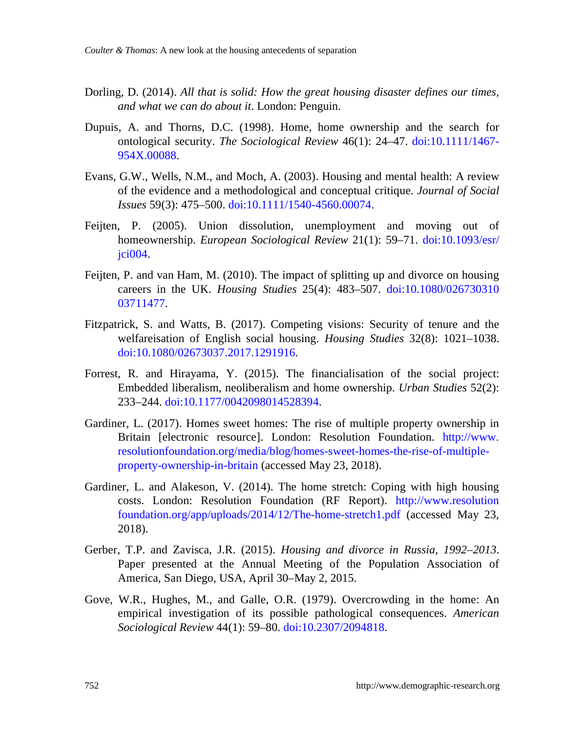- Dorling, D. (2014). *All that is solid: How the great housing disaster defines our times, and what we can do about it*. London: Penguin.
- Dupuis, A. and Thorns, D.C. (1998). Home, home ownership and the search for ontological security. *The Sociological Review* 46(1): 24–47. [doi:10.1111/1467-](https://doi.org/10.1111/1467-954X.00088) [954X.00088.](https://doi.org/10.1111/1467-954X.00088)
- Evans, G.W., Wells, N.M., and Moch, A. (2003). Housing and mental health: A review of the evidence and a methodological and conceptual critique. *Journal of Social Issues* 59(3): 475–500. [doi:10.1111/1540-4560.00074.](https://doi.org/10.1111/1540-4560.00074)
- Feijten, P. (2005). Union dissolution, unemployment and moving out of homeownership. *European Sociological Review* 21(1): 59–71. [doi:10.1093/esr/](https://doi.org/10.1093/esr/jci004) [jci004.](https://doi.org/10.1093/esr/jci004)
- Feijten, P. and van Ham, M. (2010). The impact of splitting up and divorce on housing careers in the UK. *Housing Studies* 25(4): 483–507. [doi:10.1080/026730310](https://doi.org/10.1080/02673031003711477) [03711477.](https://doi.org/10.1080/02673031003711477)
- Fitzpatrick, S. and Watts, B. (2017). Competing visions: Security of tenure and the welfareisation of English social housing. *Housing Studies* 32(8): 1021–1038. [doi:10.1080/02673037.2017.1291916.](https://doi.org/10.1080/02673037.2017.1291916)
- Forrest, R. and Hirayama, Y. (2015). The financialisation of the social project: Embedded liberalism, neoliberalism and home ownership. *Urban Studies* 52(2): 233–244. [doi:10.1177/0042098014528394.](https://doi.org/10.1177/0042098014528394)
- Gardiner, L. (2017). Homes sweet homes: The rise of multiple property ownership in Britain [electronic resource]. London: Resolution Foundation. [http://www.](http://www.resolutionfoundation.org/media/blog/homes-sweet-homes-the-rise-of-multiple-property-ownership-in-britain) [resolutionfoundation.org/media/blog/homes-sweet-homes-the-rise-of-multiple](http://www.resolutionfoundation.org/media/blog/homes-sweet-homes-the-rise-of-multiple-property-ownership-in-britain)[property-ownership-in-britain](http://www.resolutionfoundation.org/media/blog/homes-sweet-homes-the-rise-of-multiple-property-ownership-in-britain) (accessed May 23, 2018).
- Gardiner, L. and Alakeson, V. (2014). The home stretch: Coping with high housing costs. London: Resolution Foundation (RF Report). [http://www.resolution](http://www.resolutionfoundation.org/app/uploads/2014/12/The-home-stretch1.pdf) [foundation.org/app/uploads/2014/12/The-home-stretch1.pdf \(](http://www.resolutionfoundation.org/app/uploads/2014/12/The-home-stretch1.pdf)accessed May 23, 2018).
- Gerber, T.P. and Zavisca, J.R. (2015). *Housing and divorce in Russia, 1992–2013*. Paper presented at the Annual Meeting of the Population Association of America, San Diego, USA, April 30–May 2, 2015.
- Gove, W.R., Hughes, M., and Galle, O.R. (1979). Overcrowding in the home: An empirical investigation of its possible pathological consequences. *American Sociological Review* 44(1): 59–80. [doi:10.2307/2094818.](https://doi.org/10.2307/2094818)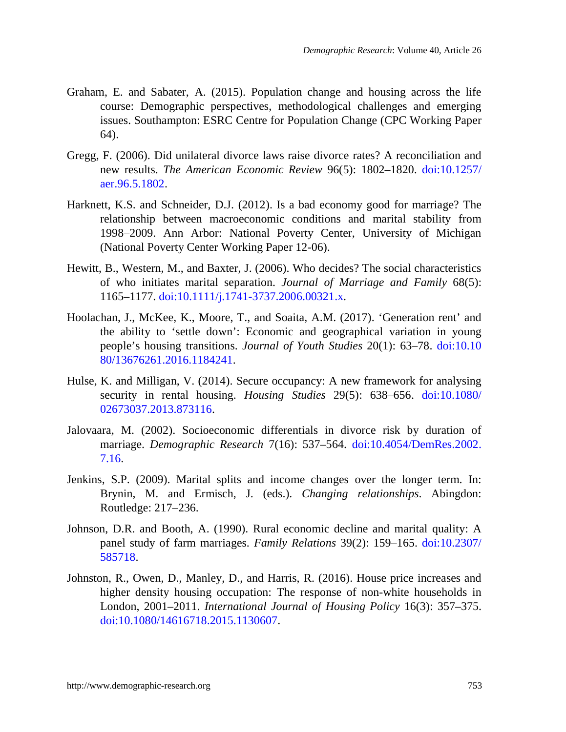- Graham, E. and Sabater, A. (2015). Population change and housing across the life course: Demographic perspectives, methodological challenges and emerging issues. Southampton: ESRC Centre for Population Change (CPC Working Paper 64).
- Gregg, F. (2006). Did unilateral divorce laws raise divorce rates? A reconciliation and new results. *The American Economic Review* 96(5): 1802–1820. [doi:10.1257/](https://doi.org/10.1257/aer.96.5.1802) [aer.96.5.1802.](https://doi.org/10.1257/aer.96.5.1802)
- Harknett, K.S. and Schneider, D.J. (2012). Is a bad economy good for marriage? The relationship between macroeconomic conditions and marital stability from 1998–2009. Ann Arbor: National Poverty Center, University of Michigan (National Poverty Center Working Paper 12-06).
- Hewitt, B., Western, M., and Baxter, J. (2006). Who decides? The social characteristics of who initiates marital separation. *Journal of Marriage and Family* 68(5): 1165–1177. [doi:10.1111/j.1741-3737.2006.00321.x.](https://doi.org/10.1111/j.1741-3737.2006.00321.x)
- Hoolachan, J., McKee, K., Moore, T., and Soaita, A.M. (2017). 'Generation rent' and the ability to 'settle down': Economic and geographical variation in young people's housing transitions. *Journal of Youth Studies* 20(1): 63–78. [doi:10.10](https://doi.org/10.1080/13676261.2016.1184241) [80/13676261.2016.1184241.](https://doi.org/10.1080/13676261.2016.1184241)
- Hulse, K. and Milligan, V. (2014). Secure occupancy: A new framework for analysing security in rental housing. *Housing Studies* 29(5): 638–656. [doi:10.1080/](https://doi.org/10.1080/02673037.2013.873116) [02673037.2013.873116.](https://doi.org/10.1080/02673037.2013.873116)
- Jalovaara, M. (2002). Socioeconomic differentials in divorce risk by duration of marriage. *Demographic Research* 7(16): 537–564. [doi:10.4054/DemRes.2002.](https://doi.org/10.4054/DemRes.2002.7.16) [7.16.](https://doi.org/10.4054/DemRes.2002.7.16)
- Jenkins, S.P. (2009). Marital splits and income changes over the longer term. In: Brynin, M. and Ermisch, J. (eds.). *Changing relationships*. Abingdon: Routledge: 217–236.
- Johnson, D.R. and Booth, A. (1990). Rural economic decline and marital quality: A panel study of farm marriages. *Family Relations* 39(2): 159–165. [doi:10.2307/](https://doi.org/10.2307/585718) [585718.](https://doi.org/10.2307/585718)
- Johnston, R., Owen, D., Manley, D., and Harris, R. (2016). House price increases and higher density housing occupation: The response of non-white households in London, 2001–2011. *International Journal of Housing Policy* 16(3): 357–375. [doi:10.1080/14616718.2015.1130607.](https://doi.org/10.1080/14616718.2015.1130607)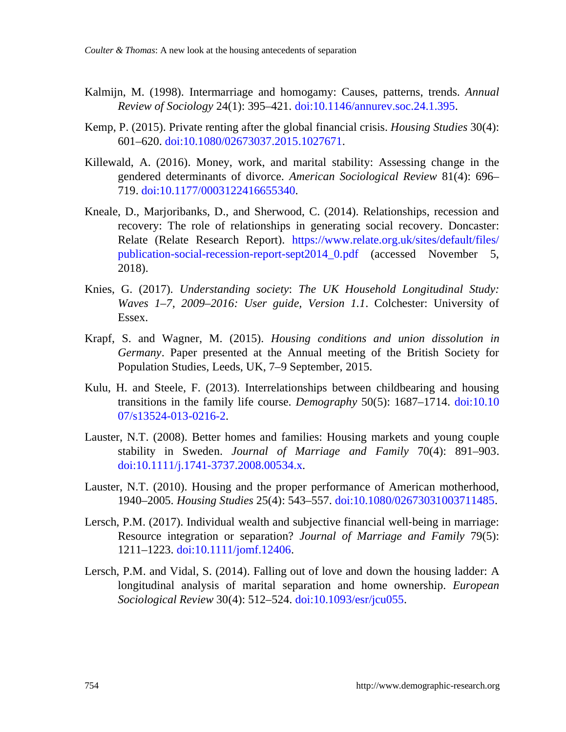- Kalmijn, M. (1998). Intermarriage and homogamy: Causes, patterns, trends. *Annual Review of Sociology* 24(1): 395–421. [doi:10.1146/annurev.soc.24.1.395.](https://doi.org/10.1146/annurev.soc.24.1.395)
- Kemp, P. (2015). Private renting after the global financial crisis. *Housing Studies* 30(4): 601–620. [doi:10.1080/02673037.2015.1027671.](https://doi.org/10.1080/02673037.2015.1027671)
- Killewald, A. (2016). Money, work, and marital stability: Assessing change in the gendered determinants of divorce. *American Sociological Review* 81(4): 696– 719. [doi:10.1177/0003122416655340.](https://doi.org/10.1177/0003122416655340)
- Kneale, D., Marjoribanks, D., and Sherwood, C. (2014). Relationships, recession and recovery: The role of relationships in generating social recovery. Doncaster: Relate (Relate Research Report). [https://www.relate.org.uk/sites/default/files/](https://www.relate.org.uk/sites/default/files/publication-social-recession-report-sept2014_0.pdf) [publication-social-recession-report-sept2014\\_0.pdf](https://www.relate.org.uk/sites/default/files/publication-social-recession-report-sept2014_0.pdf) (accessed November 5, 2018).
- Knies, G. (2017). *Understanding society*: *The UK Household Longitudinal Study: Waves 1–7, 2009–2016: User guide, Version 1.1*. Colchester: University of Essex.
- Krapf, S. and Wagner, M. (2015). *Housing conditions and union dissolution in Germany*. Paper presented at the Annual meeting of the British Society for Population Studies, Leeds, UK, 7–9 September, 2015.
- Kulu, H. and Steele, F. (2013). Interrelationships between childbearing and housing transitions in the family life course. *Demography* 50(5): 1687–1714. [doi:10.10](https://doi.org/10.1007/s13524-013-0216-2) [07/s13524-013-0216-2.](https://doi.org/10.1007/s13524-013-0216-2)
- Lauster, N.T. (2008). Better homes and families: Housing markets and young couple stability in Sweden. *Journal of Marriage and Family* 70(4): 891–903. [doi:10.1111/j.1741-3737.2008.00534.x.](https://doi.org/10.1111/j.1741-3737.2008.00534.x)
- Lauster, N.T. (2010). Housing and the proper performance of American motherhood, 1940–2005. *Housing Studies* 25(4): 543–557. [doi:10.1080/02673031003711485.](https://doi.org/10.1080/02673031003711485)
- Lersch, P.M. (2017). Individual wealth and subjective financial well-being in marriage: Resource integration or separation? *Journal of Marriage and Family* 79(5): 1211–1223. [doi:10.1111/jomf.12406.](https://doi.org/10.1111/jomf.12406)
- Lersch, P.M. and Vidal, S. (2014). Falling out of love and down the housing ladder: A longitudinal analysis of marital separation and home ownership. *European Sociological Review* 30(4): 512–524. [doi:10.1093/esr/jcu055.](https://doi.org/10.1093/esr/jcu055)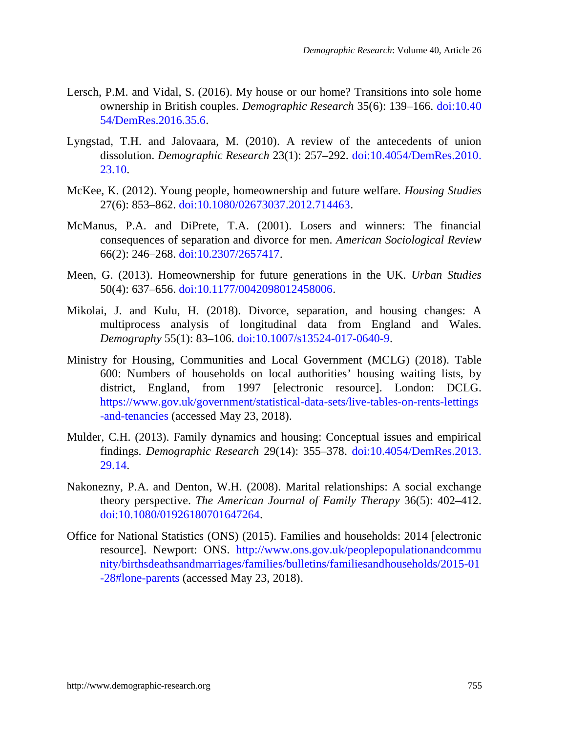- Lersch, P.M. and Vidal, S. (2016). My house or our home? Transitions into sole home ownership in British couples. *Demographic Research* 35(6): 139–166. [doi:10.40](https://doi.org/10.4054/DemRes.2016.35.6) [54/DemRes.2016.35.6.](https://doi.org/10.4054/DemRes.2016.35.6)
- Lyngstad, T.H. and Jalovaara, M. (2010). A review of the antecedents of union dissolution. *Demographic Research* 23(1): 257–292. [doi:10.4054/DemRes.2010.](https://doi.org/10.4054/DemRes.2010.23.10) [23.10.](https://doi.org/10.4054/DemRes.2010.23.10)
- McKee, K. (2012). Young people, homeownership and future welfare. *Housing Studies* 27(6): 853–862. [doi:10.1080/02673037.2012.714463.](https://doi.org/10.1080/02673037.2012.714463)
- McManus, P.A. and DiPrete, T.A. (2001). Losers and winners: The financial consequences of separation and divorce for men. *American Sociological Review* 66(2): 246–268. [doi:10.2307/2657417.](https://doi.org/10.2307/2657417)
- Meen, G. (2013). Homeownership for future generations in the UK. *Urban Studies* 50(4): 637–656. [doi:10.1177/0042098012458006.](https://doi.org/10.1177/0042098012458006)
- Mikolai, J. and Kulu, H. (2018). Divorce, separation, and housing changes: A multiprocess analysis of longitudinal data from England and Wales. *Demography* 55(1): 83–106. [doi:10.1007/s13524-017-0640-9.](https://doi.org/10.1007/s13524-017-0640-9)
- Ministry for Housing, Communities and Local Government (MCLG) (2018). Table 600: Numbers of households on local authorities' housing waiting lists, by district, England, from 1997 [electronic resource]. London: DCLG. [https://www.gov.uk/government/statistical-data-sets/live-tables-on-rents-lettings](https://www.gov.uk/government/statistical-data-sets/live-tables-on-rents-lettings-and-tenancies) [-and-tenancies \(](https://www.gov.uk/government/statistical-data-sets/live-tables-on-rents-lettings-and-tenancies)accessed May 23, 2018).
- Mulder, C.H. (2013). Family dynamics and housing: Conceptual issues and empirical findings. *Demographic Research* 29(14): 355–378. [doi:10.4054/DemRes.2013.](https://doi.org/10.4054/DemRes.2013.29.14) [29.14.](https://doi.org/10.4054/DemRes.2013.29.14)
- Nakonezny, P.A. and Denton, W.H. (2008). Marital relationships: A social exchange theory perspective. *The American Journal of Family Therapy* 36(5): 402–412. [doi:10.1080/01926180701647264.](https://doi.org/10.1080/01926180701647264)
- Office for National Statistics (ONS) (2015). Families and households: 2014 [electronic resource]. Newport: ONS. [http://www.ons.gov.uk/peoplepopulationandcommu](http://www.ons.gov.uk/peoplepopulationandcommunity/birthsdeathsandmarriages/families/bulletins/familiesandhouseholds/2015-01-28#lone-parents) [nity/birthsdeathsandmarriages/families/bulletins/familiesandhouseholds/2015-01](http://www.ons.gov.uk/peoplepopulationandcommunity/birthsdeathsandmarriages/families/bulletins/familiesandhouseholds/2015-01-28#lone-parents) [-28#lone-parents](http://www.ons.gov.uk/peoplepopulationandcommunity/birthsdeathsandmarriages/families/bulletins/familiesandhouseholds/2015-01-28#lone-parents) (accessed May 23, 2018).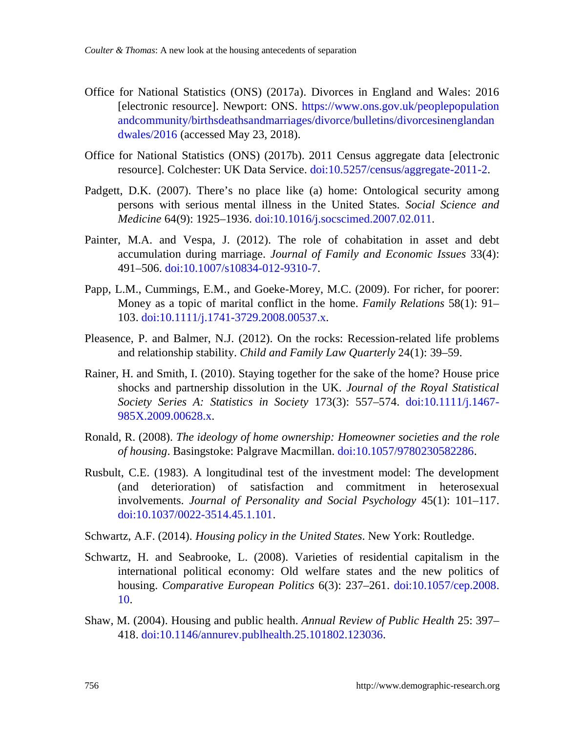- Office for National Statistics (ONS) (2017a). Divorces in England and Wales: 2016 [electronic resource]. Newport: ONS. [https://www.ons.gov.uk/peoplepopulation](https://www.ons.gov.uk/peoplepopulationandcommunity/birthsdeathsandmarriages/divorce/bulletins/divorcesinenglandandwales/2016) [andcommunity/birthsdeathsandmarriages/divorce/bulletins/divorcesinenglandan](https://www.ons.gov.uk/peoplepopulationandcommunity/birthsdeathsandmarriages/divorce/bulletins/divorcesinenglandandwales/2016) [dwales/2016](https://www.ons.gov.uk/peoplepopulationandcommunity/birthsdeathsandmarriages/divorce/bulletins/divorcesinenglandandwales/2016) (accessed May 23, 2018).
- Office for National Statistics (ONS) (2017b). 2011 Census aggregate data [electronic resource]. Colchester: UK Data Service. [doi:10.5257/census/aggregate-2011-2.](http://doi.org/10.5257/census/aggregate-2011-2)
- Padgett, D.K. (2007). There's no place like (a) home: Ontological security among persons with serious mental illness in the United States. *Social Science and Medicine* 64(9): 1925–1936. [doi:10.1016/j.socscimed.2007.02.011.](https://doi.org/10.1016/j.socscimed.2007.02.011)
- Painter, M.A. and Vespa, J. (2012). The role of cohabitation in asset and debt accumulation during marriage. *Journal of Family and Economic Issues* 33(4): 491–506. [doi:10.1007/s10834-012-9310-7.](https://doi.org/10.1007/s10834-012-9310-7)
- Papp, L.M., Cummings, E.M., and Goeke-Morey, M.C. (2009). For richer, for poorer: Money as a topic of marital conflict in the home. *Family Relations* 58(1): 91– 103. [doi:10.1111/j.1741-3729.2008.00537.x.](https://doi.org/10.1111/j.1741-3729.2008.00537.x)
- Pleasence, P. and Balmer, N.J. (2012). On the rocks: Recession-related life problems and relationship stability. *Child and Family Law Quarterly* 24(1): 39–59.
- Rainer, H. and Smith, I. (2010). Staying together for the sake of the home? House price shocks and partnership dissolution in the UK. *Journal of the Royal Statistical Society Series A: Statistics in Society* 173(3): 557–574. [doi:10.1111/j.1467-](https://doi.org/10.1111/j.1467-985X.2009.00628.x) [985X.2009.00628.x.](https://doi.org/10.1111/j.1467-985X.2009.00628.x)
- Ronald, R. (2008). *The ideology of home ownership: Homeowner societies and the role of housing*. Basingstoke: Palgrave Macmillan. [doi:10.1057/9780230582286.](https://doi.org/10.1057/9780230582286)
- Rusbult, C.E. (1983). A longitudinal test of the investment model: The development (and deterioration) of satisfaction and commitment in heterosexual involvements. *Journal of Personality and Social Psychology* 45(1): 101–117. [doi:10.1037/0022-3514.45.1.101.](https://doi.org/10.1037/0022-3514.45.1.101)
- Schwartz, A.F. (2014). *Housing policy in the United States*. New York: Routledge.
- Schwartz, H. and Seabrooke, L. (2008). Varieties of residential capitalism in the international political economy: Old welfare states and the new politics of housing. *Comparative European Politics* 6(3): 237–261. [doi:10.1057/cep.2008.](https://doi.org/10.1057/cep.2008.10) [10.](https://doi.org/10.1057/cep.2008.10)
- Shaw, M. (2004). Housing and public health. *Annual Review of Public Health* 25: 397– 418. [doi:10.1146/annurev.publhealth.25.101802.123036.](https://doi.org/10.1146/annurev.publhealth.25.101802.123036)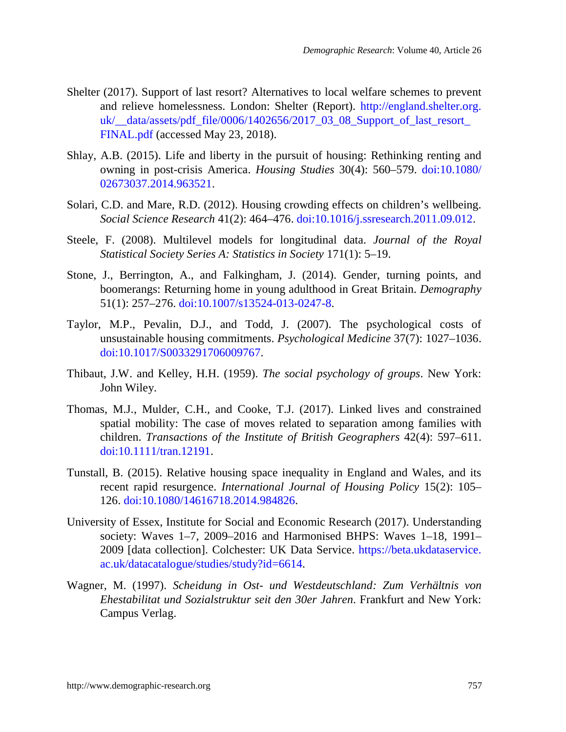- Shelter (2017). Support of last resort? Alternatives to local welfare schemes to prevent and relieve homelessness. London: Shelter (Report). [http://england.shelter.org.](http://england.shelter.org.uk/__data/assets/pdf_file/0006/1402656/2017_03_08_Support_of_last_resort_FINAL.pdf) uk/ $data/assets/pdf$  file/0006/1402656/2017 03 08 Support of last resort [FINAL.pdf](http://england.shelter.org.uk/__data/assets/pdf_file/0006/1402656/2017_03_08_Support_of_last_resort_FINAL.pdf) (accessed May 23, 2018).
- Shlay, A.B. (2015). Life and liberty in the pursuit of housing: Rethinking renting and owning in post-crisis America. *Housing Studies* 30(4): 560–579. [doi:10.1080/](https://doi.org/10.1080/02673037.2014.963521) [02673037.2014.963521.](https://doi.org/10.1080/02673037.2014.963521)
- Solari, C.D. and Mare, R.D. (2012). Housing crowding effects on children's wellbeing. *Social Science Research* 41(2): 464–476. [doi:10.1016/j.ssresearch.2011.09.012.](https://doi.org/10.1016/j.ssresearch.2011.09.012)
- Steele, F. (2008). Multilevel models for longitudinal data. *Journal of the Royal Statistical Society Series A: Statistics in Society* 171(1): 5–19.
- Stone, J., Berrington, A., and Falkingham, J. (2014). Gender, turning points, and boomerangs: Returning home in young adulthood in Great Britain. *Demography* 51(1): 257–276. [doi:10.1007/s13524-013-0247-8.](https://doi.org/10.1007/s13524-013-0247-8)
- Taylor, M.P., Pevalin, D.J., and Todd, J. (2007). The psychological costs of unsustainable housing commitments. *Psychological Medicine* 37(7): 1027–1036. [doi:10.1017/S0033291706009767.](https://doi.org/10.1017/S0033291706009767)
- Thibaut, J.W. and Kelley, H.H. (1959). *The social psychology of groups*. New York: John Wiley.
- Thomas, M.J., Mulder, C.H., and Cooke, T.J. (2017). Linked lives and constrained spatial mobility: The case of moves related to separation among families with children. *Transactions of the Institute of British Geographers* 42(4): 597–611. [doi:10.1111/tran.12191.](https://doi.org/10.1111/tran.12191)
- Tunstall, B. (2015). Relative housing space inequality in England and Wales, and its recent rapid resurgence. *International Journal of Housing Policy* 15(2): 105– 126. [doi:10.1080/14616718.2014.984826.](https://doi.org/10.1080/14616718.2014.984826)
- University of Essex, Institute for Social and Economic Research (2017). Understanding society: Waves 1–7, 2009–2016 and Harmonised BHPS: Waves 1–18, 1991– 2009 [data collection]. Colchester: UK Data Service. [https://beta.ukdataservice.](https://beta.ukdataservice.ac.uk/datacatalogue/studies/study?id=6614) [ac.uk/datacatalogue/studies/study?id=6614.](https://beta.ukdataservice.ac.uk/datacatalogue/studies/study?id=6614)
- Wagner, M. (1997). *Scheidung in Ost- und Westdeutschland: Zum Verhältnis von Ehestabilitat und Sozialstruktur seit den 30er Jahren*. Frankfurt and New York: Campus Verlag.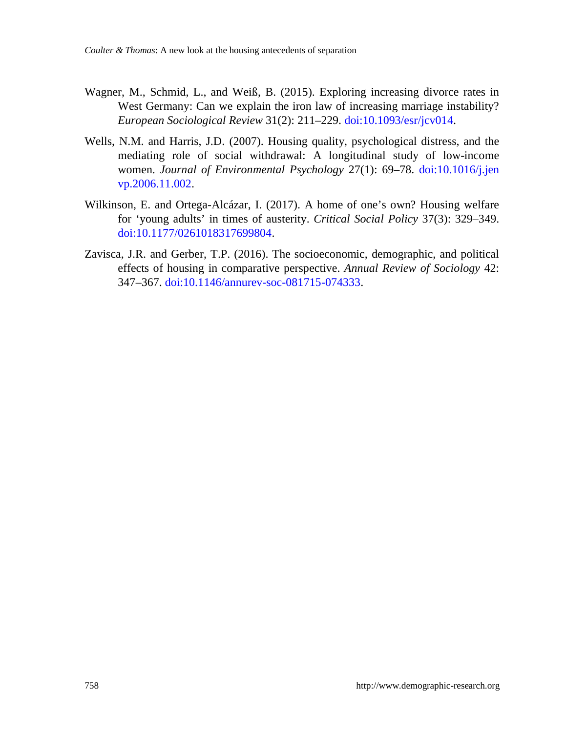- Wagner, M., Schmid, L., and Weiß, B. (2015). Exploring increasing divorce rates in West Germany: Can we explain the iron law of increasing marriage instability? *European Sociological Review* 31(2): 211–229. [doi:10.1093/esr/jcv014.](https://doi.org/10.1093/esr/jcv014)
- Wells, N.M. and Harris, J.D. (2007). Housing quality, psychological distress, and the mediating role of social withdrawal: A longitudinal study of low-income women. *Journal of Environmental Psychology* 27(1): 69–78. [doi:10.1016/j.jen](https://doi.org/10.1016/j.jenvp.2006.11.002) [vp.2006.11.002.](https://doi.org/10.1016/j.jenvp.2006.11.002)
- Wilkinson, E. and Ortega-Alcázar, I. (2017). A home of one's own? Housing welfare for 'young adults' in times of austerity. *Critical Social Policy* 37(3): 329–349. [doi:10.1177/0261018317699804.](https://doi.org/10.1177/0261018317699804)
- Zavisca, J.R. and Gerber, T.P. (2016). The socioeconomic, demographic, and political effects of housing in comparative perspective. *Annual Review of Sociology* 42: 347–367. [doi:10.1146/annurev-soc-081715-074333.](https://doi.org/10.1146/annurev-soc-081715-074333)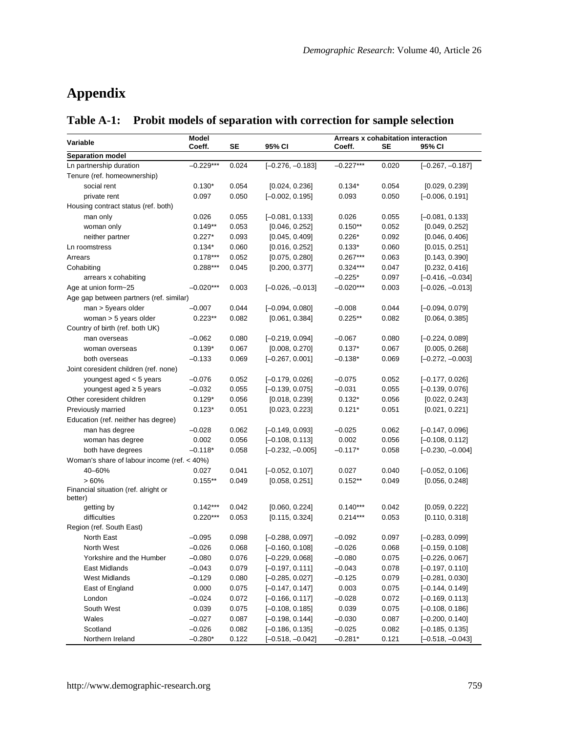# **Appendix**

|                                                 | Model       |       |                    | Arrears x cohabitation interaction |       |                    |  |
|-------------------------------------------------|-------------|-------|--------------------|------------------------------------|-------|--------------------|--|
| Variable                                        | Coeff.      | SE    | 95% CI             | Coeff.                             | SE    | 95% CI             |  |
| Separation model                                |             |       |                    |                                    |       |                    |  |
| Ln partnership duration                         | $-0.229***$ | 0.024 | $[-0.276, -0.183]$ | $-0.227***$                        | 0.020 | $[-0.267, -0.187]$ |  |
| Tenure (ref. homeownership)                     |             |       |                    |                                    |       |                    |  |
| social rent                                     | $0.130*$    | 0.054 | [0.024, 0.236]     | $0.134*$                           | 0.054 | [0.029, 0.239]     |  |
| private rent                                    | 0.097       | 0.050 | $[-0.002, 0.195]$  | 0.093                              | 0.050 | $[-0.006, 0.191]$  |  |
| Housing contract status (ref. both)             |             |       |                    |                                    |       |                    |  |
| man only                                        | 0.026       | 0.055 | $[-0.081, 0.133]$  | 0.026                              | 0.055 | $[-0.081, 0.133]$  |  |
| woman only                                      | $0.149**$   | 0.053 | [0.046, 0.252]     | $0.150**$                          | 0.052 | [0.049, 0.252]     |  |
| neither partner                                 | $0.227*$    | 0.093 | [0.045, 0.409]     | $0.226*$                           | 0.092 | [0.046, 0.406]     |  |
| Ln roomstress                                   | $0.134*$    | 0.060 | [0.016, 0.252]     | $0.133*$                           | 0.060 | [0.015, 0.251]     |  |
| Arrears                                         | $0.178***$  | 0.052 | [0.075, 0.280]     | $0.267***$                         | 0.063 | [0.143, 0.390]     |  |
| Cohabiting                                      | $0.288***$  | 0.045 | [0.200, 0.377]     | $0.324***$                         | 0.047 | [0.232, 0.416]     |  |
| arrears x cohabiting                            |             |       |                    | $-0.225*$                          | 0.097 | $[-0.416, -0.034]$ |  |
| Age at union form~25                            | $-0.020***$ | 0.003 | $[-0.026, -0.013]$ | $-0.020***$                        | 0.003 | $[-0.026, -0.013]$ |  |
| Age gap between partners (ref. similar)         |             |       |                    |                                    |       |                    |  |
| man > 5years older                              | $-0.007$    | 0.044 | $[-0.094, 0.080]$  | $-0.008$                           | 0.044 | $[-0.094, 0.079]$  |  |
| woman > 5 years older                           | $0.223**$   | 0.082 | [0.061, 0.384]     | $0.225**$                          | 0.082 | [0.064, 0.385]     |  |
| Country of birth (ref. both UK)                 |             |       |                    |                                    |       |                    |  |
| man overseas                                    | $-0.062$    | 0.080 | $[-0.219, 0.094]$  | $-0.067$                           | 0.080 | $[-0.224, 0.089]$  |  |
| woman overseas                                  | $0.139*$    | 0.067 | [0.008, 0.270]     | $0.137*$                           | 0.067 | [0.005, 0.268]     |  |
| both overseas                                   | $-0.133$    | 0.069 | $[-0.267, 0.001]$  | $-0.138*$                          | 0.069 | $[-0.272, -0.003]$ |  |
| Joint coresident children (ref. none)           |             |       |                    |                                    |       |                    |  |
| youngest aged < 5 years                         | $-0.076$    | 0.052 | $[-0.179, 0.026]$  | $-0.075$                           | 0.052 | $[-0.177, 0.026]$  |  |
| youngest aged ≥ 5 years                         | $-0.032$    | 0.055 | $[-0.139, 0.075]$  | $-0.031$                           | 0.055 | $[-0.139, 0.076]$  |  |
| Other coresident children                       | $0.129*$    | 0.056 | [0.018, 0.239]     | $0.132*$                           | 0.056 | [0.022, 0.243]     |  |
| Previously married                              | $0.123*$    | 0.051 | [0.023, 0.223]     | $0.121*$                           | 0.051 | [0.021, 0.221]     |  |
| Education (ref. neither has degree)             |             |       |                    |                                    |       |                    |  |
| man has degree                                  | $-0.028$    | 0.062 | $[-0.149, 0.093]$  | $-0.025$                           | 0.062 | $[-0.147, 0.096]$  |  |
| woman has degree                                | 0.002       | 0.056 | $[-0.108, 0.113]$  | 0.002                              | 0.056 | $[-0.108, 0.112]$  |  |
| both have degrees                               | $-0.118*$   | 0.058 | $[-0.232, -0.005]$ | $-0.117*$                          | 0.058 | $[-0.230, -0.004]$ |  |
| Woman's share of labour income (ref. < 40%)     |             |       |                    |                                    |       |                    |  |
| 40-60%                                          | 0.027       | 0.041 | $[-0.052, 0.107]$  | 0.027                              | 0.040 | $[-0.052, 0.106]$  |  |
| >60%                                            | $0.155***$  | 0.049 | [0.058, 0.251]     | $0.152**$                          | 0.049 | [0.056, 0.248]     |  |
| Financial situation (ref. alright or<br>better) |             |       |                    |                                    |       |                    |  |
| getting by                                      | $0.142***$  | 0.042 | [0.060, 0.224]     | $0.140***$                         | 0.042 | [0.059, 0.222]     |  |
| difficulties                                    | $0.220***$  | 0.053 | [0.115, 0.324]     | $0.214***$                         | 0.053 | [0.110, 0.318]     |  |
| Region (ref. South East)                        |             |       |                    |                                    |       |                    |  |
| North East                                      | $-0.095$    | 0.098 | $[-0.288, 0.097]$  | $-0.092$                           | 0.097 | $[-0.283, 0.099]$  |  |
| North West                                      | $-0.026$    | 0.068 | $[-0.160, 0.108]$  | $-0.026$                           | 0.068 | $[-0.159, 0.108]$  |  |
| Yorkshire and the Humber                        | $-0.080$    | 0.076 | $[-0.229, 0.068]$  | $-0.080$                           | 0.075 | $[-0.226, 0.067]$  |  |
| East Midlands                                   | $-0.043$    | 0.079 | $[-0.197, 0.111]$  | $-0.043$                           | 0.078 | $[-0.197, 0.110]$  |  |
| <b>West Midlands</b>                            | $-0.129$    | 0.080 | $[-0.285, 0.027]$  | $-0.125$                           | 0.079 | $[-0.281, 0.030]$  |  |
| East of England                                 | 0.000       | 0.075 | $[-0.147, 0.147]$  | 0.003                              | 0.075 | $[-0.144, 0.149]$  |  |
| London                                          | $-0.024$    | 0.072 | $[-0.166, 0.117]$  | $-0.028$                           | 0.072 | $[-0.169, 0.113]$  |  |
| South West                                      | 0.039       | 0.075 | $[-0.108, 0.185]$  | 0.039                              | 0.075 | $[-0.108, 0.186]$  |  |
| Wales                                           | $-0.027$    | 0.087 | $[-0.198, 0.144]$  | $-0.030$                           | 0.087 | $[-0.200, 0.140]$  |  |
| Scotland                                        | $-0.026$    | 0.082 | $[-0.186, 0.135]$  | $-0.025$                           | 0.082 | $[-0.185, 0.135]$  |  |
| Northern Ireland                                | $-0.280*$   | 0.122 | $[-0.518, -0.042]$ | $-0.281*$                          | 0.121 | $[-0.518, -0.043]$ |  |

**Table A-1: Probit models of separation with correction for sample selection**